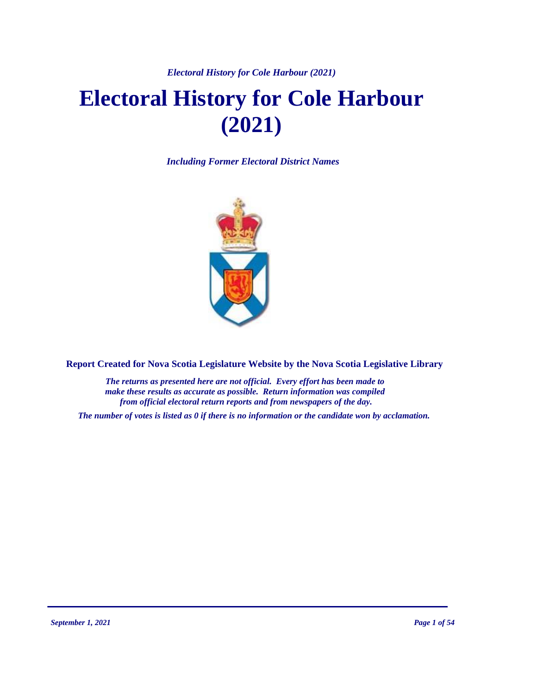### *Electoral History for Cole Harbour (2021)*

# **Electoral History for Cole Harbour (2021)**

*Including Former Electoral District Names*



**Report Created for Nova Scotia Legislature Website by the Nova Scotia Legislative Library**

*The returns as presented here are not official. Every effort has been made to make these results as accurate as possible. Return information was compiled from official electoral return reports and from newspapers of the day.*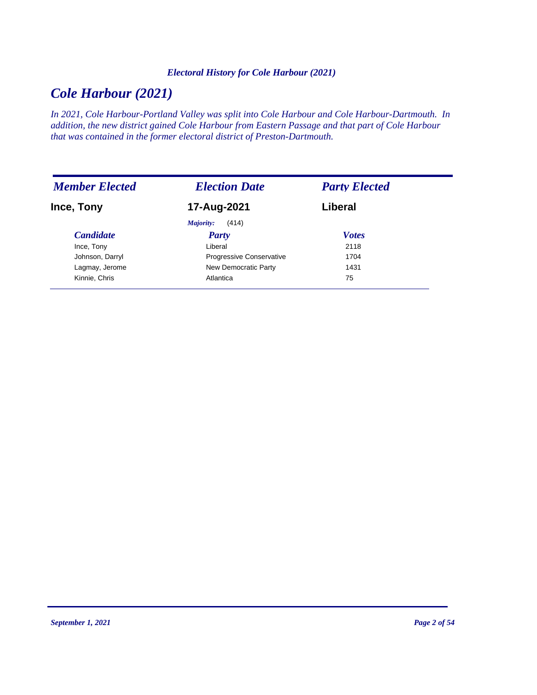### *Electoral History for Cole Harbour (2021)*

# *Cole Harbour (2021)*

*In 2021, Cole Harbour-Portland Valley was split into Cole Harbour and Cole Harbour-Dartmouth. In addition, the new district gained Cole Harbour from Eastern Passage and that part of Cole Harbour that was contained in the former electoral district of Preston-Dartmouth.*

| <b>Member Elected</b> | <b>Election Date</b>     | <b>Party Elected</b> |
|-----------------------|--------------------------|----------------------|
| Ince, Tony            | 17-Aug-2021              | Liberal              |
|                       | (414)<br>Majority:       |                      |
| <b>Candidate</b>      | <b>Party</b>             | <b>Votes</b>         |
| Ince, Tony            | Liberal                  | 2118                 |
| Johnson, Darryl       | Progressive Conservative | 1704                 |
| Lagmay, Jerome        | New Democratic Party     | 1431                 |
| Kinnie, Chris         | Atlantica                | 75                   |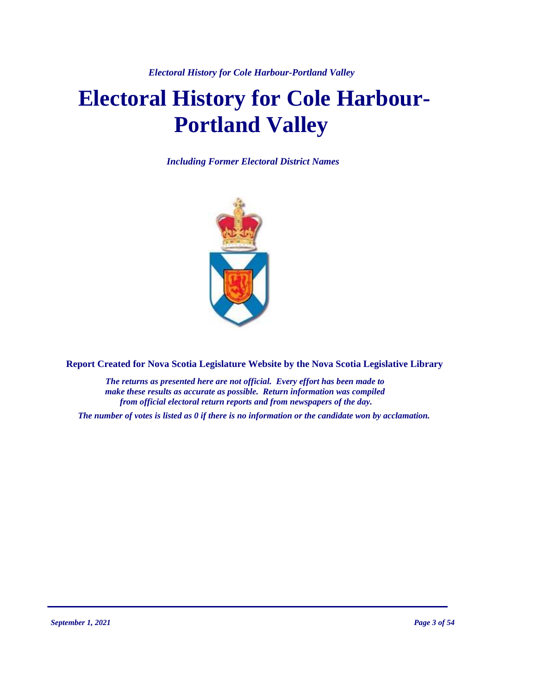*Electoral History for Cole Harbour-Portland Valley*

# **Electoral History for Cole Harbour-Portland Valley**

*Including Former Electoral District Names*



**Report Created for Nova Scotia Legislature Website by the Nova Scotia Legislative Library**

*The returns as presented here are not official. Every effort has been made to make these results as accurate as possible. Return information was compiled from official electoral return reports and from newspapers of the day.*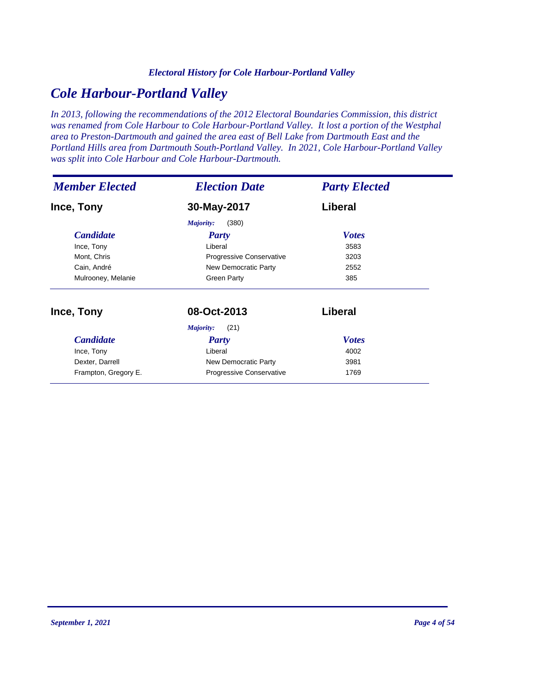### *Electoral History for Cole Harbour-Portland Valley*

# *Cole Harbour-Portland Valley*

*In 2013, following the recommendations of the 2012 Electoral Boundaries Commission, this district was renamed from Cole Harbour to Cole Harbour-Portland Valley. It lost a portion of the Westphal area to Preston-Dartmouth and gained the area east of Bell Lake from Dartmouth East and the Portland Hills area from Dartmouth South-Portland Valley. In 2021, Cole Harbour-Portland Valley was split into Cole Harbour and Cole Harbour-Dartmouth.*

| <b>Member Elected</b><br><b>Election Date</b> |                              | <b>Party Elected</b> |  |
|-----------------------------------------------|------------------------------|----------------------|--|
| Ince, Tony                                    | 30-May-2017                  | Liberal              |  |
|                                               | (380)<br>Majority:           |                      |  |
| <i>Candidate</i>                              | Party                        | <b>Votes</b>         |  |
| Ince, Tony                                    | Liberal                      | 3583                 |  |
| Mont, Chris                                   | Progressive Conservative     | 3203                 |  |
| Cain, André                                   | New Democratic Party         | 2552                 |  |
| Mulrooney, Melanie                            | <b>Green Party</b>           | 385                  |  |
| Ince, Tony                                    | 08-Oct-2013                  | Liberal              |  |
|                                               | (21)<br>Majority:            |                      |  |
| <b>Candidate</b>                              | <b>Party</b>                 | <b>Votes</b>         |  |
| Ince, Tony                                    | Liberal<br>4002              |                      |  |
| Dexter, Darrell                               | New Democratic Party<br>3981 |                      |  |
| Frampton, Gregory E.                          | Progressive Conservative     | 1769                 |  |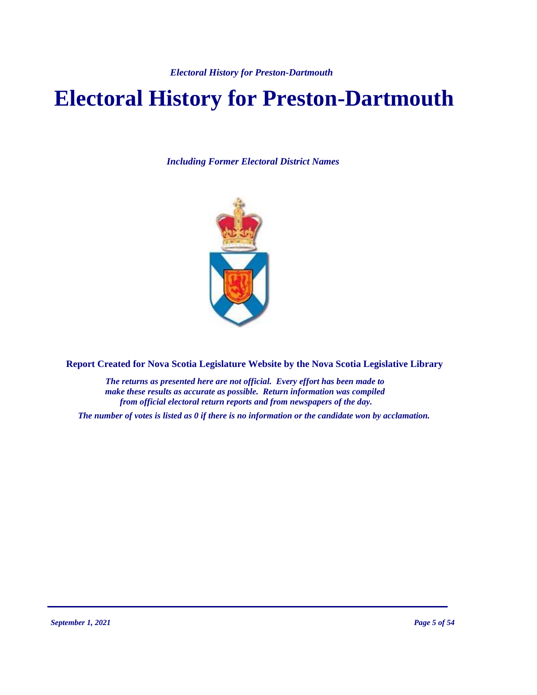*Electoral History for Preston-Dartmouth*

# **Electoral History for Preston-Dartmouth**

*Including Former Electoral District Names*



**Report Created for Nova Scotia Legislature Website by the Nova Scotia Legislative Library**

*The returns as presented here are not official. Every effort has been made to make these results as accurate as possible. Return information was compiled from official electoral return reports and from newspapers of the day.*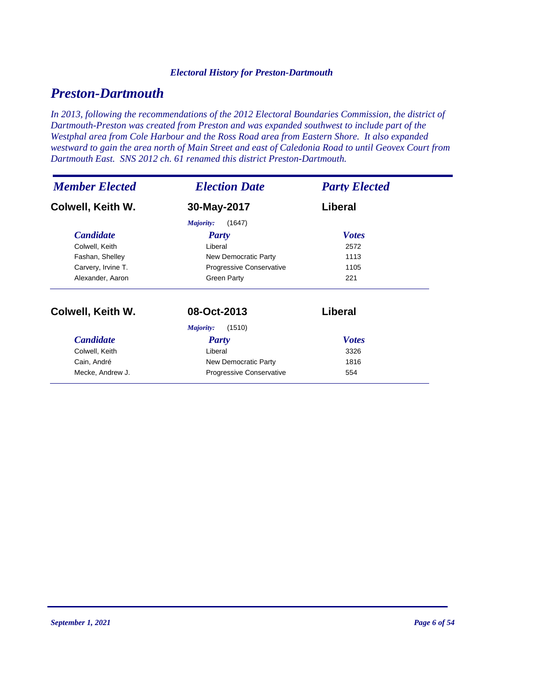### *Electoral History for Preston-Dartmouth*

# *Preston-Dartmouth*

*In 2013, following the recommendations of the 2012 Electoral Boundaries Commission, the district of Dartmouth-Preston was created from Preston and was expanded southwest to include part of the Westphal area from Cole Harbour and the Ross Road area from Eastern Shore. It also expanded westward to gain the area north of Main Street and east of Caledonia Road to until Geovex Court from Dartmouth East. SNS 2012 ch. 61 renamed this district Preston-Dartmouth.*

| <b>Member Elected</b>                        | <b>Election Date</b>         | <b>Party Elected</b> |  |
|----------------------------------------------|------------------------------|----------------------|--|
| Colwell, Keith W.                            | 30-May-2017                  | Liberal              |  |
|                                              | (1647)<br>Majority:          |                      |  |
| <b>Candidate</b>                             | Party                        | <b>Votes</b>         |  |
| Colwell, Keith                               | Liberal                      | 2572                 |  |
| Fashan, Shelley                              | New Democratic Party         | 1113                 |  |
| Carvery, Irvine T.                           | Progressive Conservative     | 1105                 |  |
| Alexander, Aaron                             | <b>Green Party</b>           | 221                  |  |
| Colwell, Keith W.                            | 08-Oct-2013                  | Liberal              |  |
|                                              | (1510)<br>Majority:          |                      |  |
| <b>Candidate</b>                             | Party                        | <b>Votes</b>         |  |
| Colwell, Keith                               | Liberal<br>3326              |                      |  |
| Cain, André                                  | New Democratic Party<br>1816 |                      |  |
| Mecke, Andrew J.<br>Progressive Conservative |                              | 554                  |  |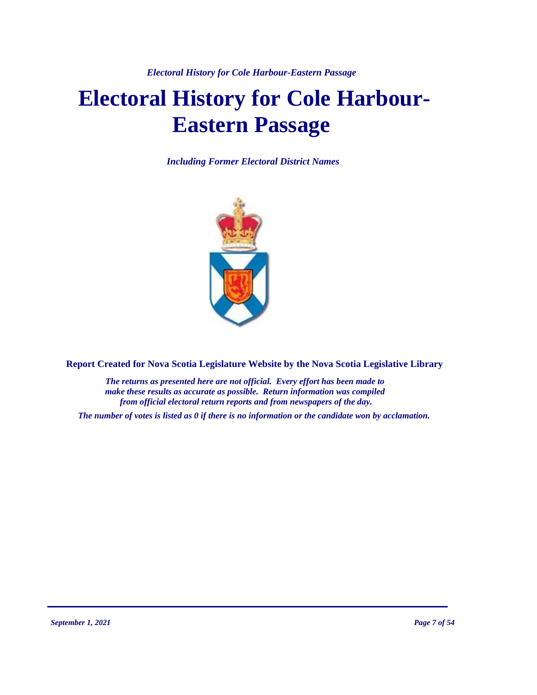# **Electoral History for Cole Harbour-Eastern Passage**

*Including Former Electoral District Names*



**Report Created for Nova Scotia Legislature Website by the Nova Scotia Legislative Library**

*The returns as presented here are not official. Every effort has been made to make these results as accurate as possible. Return information was compiled from official electoral return reports and from newspapers of the day.*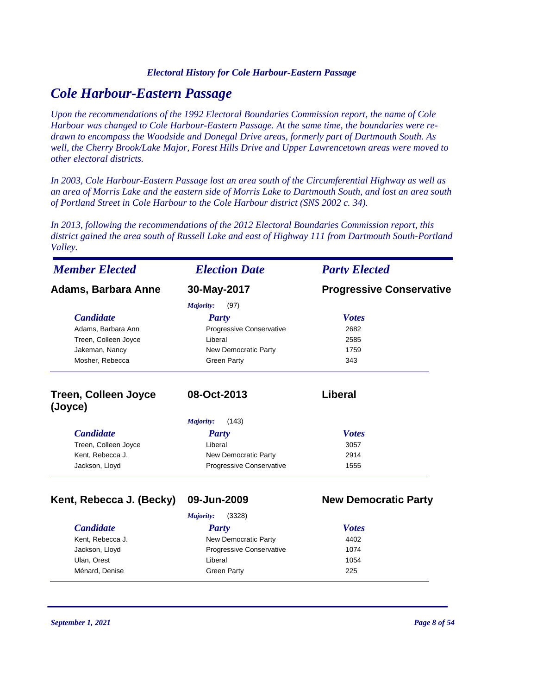# *Cole Harbour-Eastern Passage*

*Upon the recommendations of the 1992 Electoral Boundaries Commission report, the name of Cole Harbour was changed to Cole Harbour-Eastern Passage. At the same time, the boundaries were redrawn to encompass the Woodside and Donegal Drive areas, formerly part of Dartmouth South. As well, the Cherry Brook/Lake Major, Forest Hills Drive and Upper Lawrencetown areas were moved to other electoral districts.*

*In 2003, Cole Harbour-Eastern Passage lost an area south of the Circumferential Highway as well as an area of Morris Lake and the eastern side of Morris Lake to Dartmouth South, and lost an area south of Portland Street in Cole Harbour to the Cole Harbour district (SNS 2002 c. 34).*

*In 2013, following the recommendations of the 2012 Electoral Boundaries Commission report, this district gained the area south of Russell Lake and east of Highway 111 from Dartmouth South-Portland Valley.*

| <b>Member Elected</b>                  | <b>Election Date</b>            | <b>Party Elected</b>            |
|----------------------------------------|---------------------------------|---------------------------------|
| <b>Adams, Barbara Anne</b>             | 30-May-2017                     | <b>Progressive Conservative</b> |
|                                        | Majority:<br>(97)               |                                 |
| <b>Candidate</b>                       | <b>Party</b>                    | <b>Votes</b>                    |
| Adams, Barbara Ann                     | Progressive Conservative        | 2682                            |
| Treen, Colleen Joyce                   | Liberal                         | 2585                            |
| Jakeman, Nancy                         | New Democratic Party            | 1759                            |
| Mosher, Rebecca                        | <b>Green Party</b>              | 343                             |
| <b>Treen, Colleen Joyce</b><br>(Joyce) | 08-Oct-2013                     | <b>Liberal</b>                  |
|                                        | (143)<br>Majority:              |                                 |
| <b>Candidate</b>                       | <b>Party</b>                    | <b>Votes</b>                    |
| Treen, Colleen Joyce                   | Liberal                         | 3057                            |
| Kent, Rebecca J.                       | New Democratic Party            | 2914                            |
| Jackson, Lloyd                         | Progressive Conservative        | 1555                            |
| Kent, Rebecca J. (Becky)               | 09-Jun-2009                     | <b>New Democratic Party</b>     |
|                                        | (3328)<br><b>Majority:</b>      |                                 |
| <b>Candidate</b>                       | Party                           | <b>Votes</b>                    |
| Kent, Rebecca J.                       | <b>New Democratic Party</b>     | 4402                            |
| Jackson, Lloyd                         | <b>Progressive Conservative</b> | 1074                            |

Ulan, Orest 1054 Ménard, Denise Green Party 225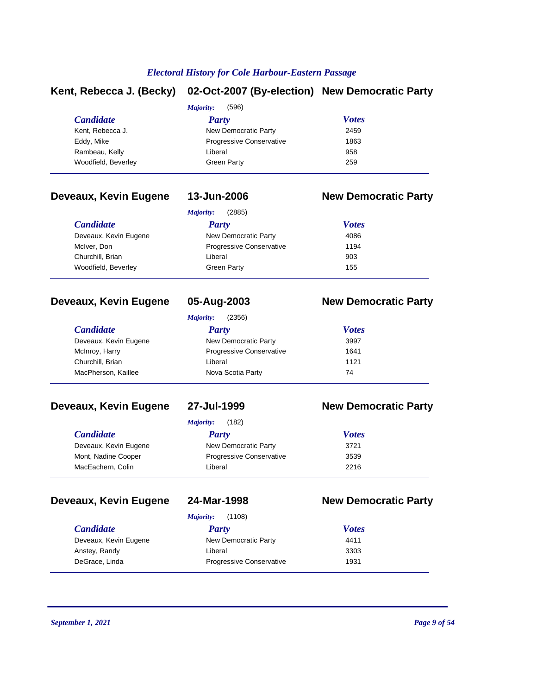# **Kent, Rebecca J. (Becky) 02-Oct-2007 (By-election) New Democratic Party**

|                     | Majority:                       | (596)        |  |
|---------------------|---------------------------------|--------------|--|
| <b>Candidate</b>    | Party                           | <b>Votes</b> |  |
| Kent, Rebecca J.    | New Democratic Party            | 2459         |  |
| Eddy, Mike          | <b>Progressive Conservative</b> | 1863         |  |
| Rambeau, Kelly      | Liberal                         | 958          |  |
| Woodfield, Beverley | Green Party                     | 259          |  |
|                     |                                 |              |  |

# **Deveaux, Kevin Eugene 13-Jun-2006 New Democratic Party**

| (2885)<br>Majority:      |              |  |
|--------------------------|--------------|--|
| Party                    | <b>Votes</b> |  |
| New Democratic Party     | 4086         |  |
| Progressive Conservative | 1194         |  |
| Liberal                  | 903          |  |
| Green Party              | 155          |  |
|                          |              |  |

## **Deveaux, Kevin Eugene 05-Aug-2003 New Democratic Party**

| (2356)<br>Majority:   |                                 |              |  |
|-----------------------|---------------------------------|--------------|--|
| <i>Candidate</i>      | Party                           | <b>Votes</b> |  |
| Deveaux, Kevin Eugene | New Democratic Party            | 3997         |  |
| McInroy, Harry        | <b>Progressive Conservative</b> | 1641         |  |
| Churchill, Brian      | Liberal                         | 1121         |  |
| MacPherson, Kaillee   | Nova Scotia Party               | 74           |  |

# **Deveaux, Kevin Eugene 27-Jul-1999 New Democratic Party**

*Majority:* (182)

| <b>Candidate</b>      | Party                           | <b>Votes</b> |  |
|-----------------------|---------------------------------|--------------|--|
| Deveaux, Kevin Eugene | New Democratic Party            | 3721         |  |
| Mont, Nadine Cooper   | <b>Progressive Conservative</b> | 3539         |  |
| MacEachern, Colin     | Liberal                         | 2216         |  |
|                       |                                 |              |  |

# **Deveaux, Kevin Eugene 24-Mar-1998 New Democratic Party**

|  | 24-Mar-199 |  |  |
|--|------------|--|--|
|  |            |  |  |

|                       | (1108)<br>Majority:             |              |
|-----------------------|---------------------------------|--------------|
| <i>Candidate</i>      | Party                           | <b>Votes</b> |
| Deveaux, Kevin Eugene | New Democratic Party            | 4411         |
| Anstey, Randy         | Liberal                         | 3303         |
| DeGrace, Linda        | <b>Progressive Conservative</b> | 1931         |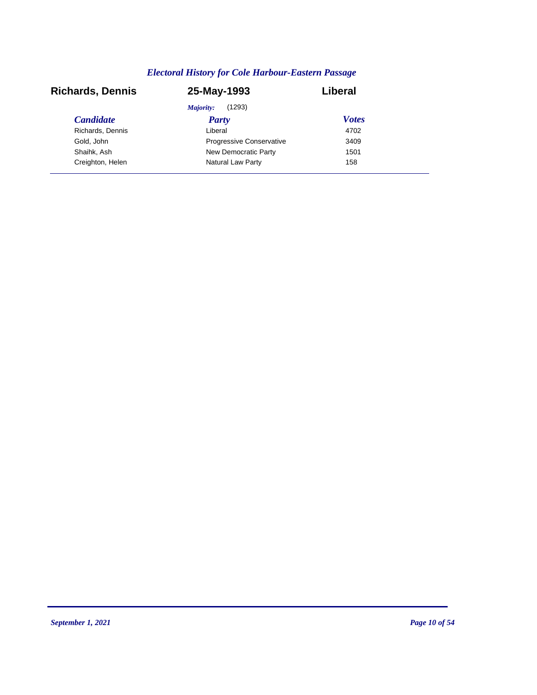| <b>Richards, Dennis</b> | 25-May-1993                     | Liberal      |
|-------------------------|---------------------------------|--------------|
|                         | (1293)<br>Majority:             |              |
| <b>Candidate</b>        | <b>Party</b>                    | <b>Votes</b> |
| Richards, Dennis        | Liberal                         | 4702         |
| Gold, John              | <b>Progressive Conservative</b> | 3409         |
| Shaihk, Ash             | New Democratic Party            | 1501         |
| Creighton, Helen        | Natural Law Party               | 158          |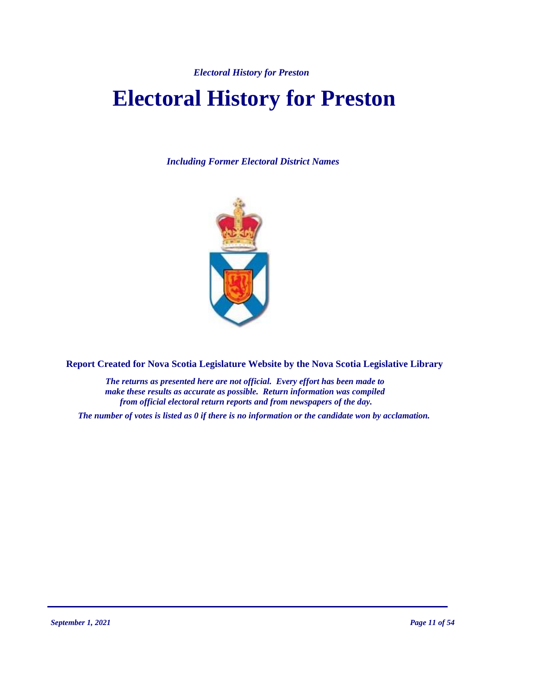*Electoral History for Preston*

# **Electoral History for Preston**

*Including Former Electoral District Names*



**Report Created for Nova Scotia Legislature Website by the Nova Scotia Legislative Library**

*The returns as presented here are not official. Every effort has been made to make these results as accurate as possible. Return information was compiled from official electoral return reports and from newspapers of the day.*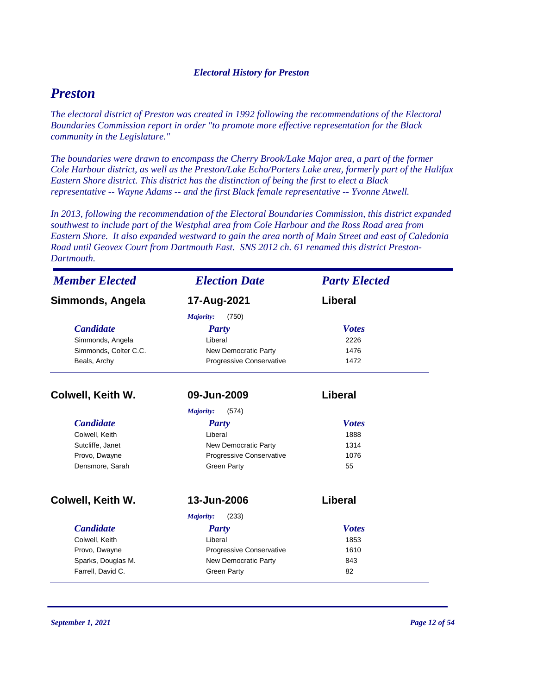### *Electoral History for Preston*

# *Preston*

*The electoral district of Preston was created in 1992 following the recommendations of the Electoral Boundaries Commission report in order "to promote more effective representation for the Black community in the Legislature."*

*The boundaries were drawn to encompass the Cherry Brook/Lake Major area, a part of the former Cole Harbour district, as well as the Preston/Lake Echo/Porters Lake area, formerly part of the Halifax Eastern Shore district. This district has the distinction of being the first to elect a Black representative -- Wayne Adams -- and the first Black female representative -- Yvonne Atwell.*

*In 2013, following the recommendation of the Electoral Boundaries Commission, this district expanded southwest to include part of the Westphal area from Cole Harbour and the Ross Road area from Eastern Shore. It also expanded westward to gain the area north of Main Street and east of Caledonia Road until Geovex Court from Dartmouth East. SNS 2012 ch. 61 renamed this district Preston-Dartmouth.*

| <b>Member Elected</b><br><b>Election Date</b> |                                 | <b>Party Elected</b> |
|-----------------------------------------------|---------------------------------|----------------------|
| Simmonds, Angela                              | 17-Aug-2021                     | Liberal              |
|                                               | Majority:<br>(750)              |                      |
| <b>Candidate</b>                              | <b>Party</b>                    | <b>Votes</b>         |
| Simmonds, Angela                              | Liberal                         | 2226                 |
| Simmonds, Colter C.C.                         | New Democratic Party            | 1476                 |
| Beals, Archy                                  | Progressive Conservative        | 1472                 |
| Colwell, Keith W.                             | 09-Jun-2009                     | Liberal              |
|                                               | (574)<br>Majority:              |                      |
| <b>Candidate</b>                              | Party                           | <b>Votes</b>         |
| Colwell, Keith                                | Liberal                         | 1888                 |
| Sutcliffe, Janet                              | New Democratic Party            | 1314                 |
| Provo, Dwayne                                 | Progressive Conservative        | 1076                 |
| Densmore, Sarah                               | <b>Green Party</b>              | 55                   |
| Colwell, Keith W.                             | 13-Jun-2006                     | Liberal              |
|                                               | (233)<br>Majority:              |                      |
| <b>Candidate</b>                              | Party                           | <b>Votes</b>         |
| Colwell, Keith                                | Liberal                         | 1853                 |
| Provo, Dwayne                                 | <b>Progressive Conservative</b> | 1610                 |
| Sparks, Douglas M.                            | New Democratic Party            | 843                  |
| Farrell, David C.                             | <b>Green Party</b>              | 82                   |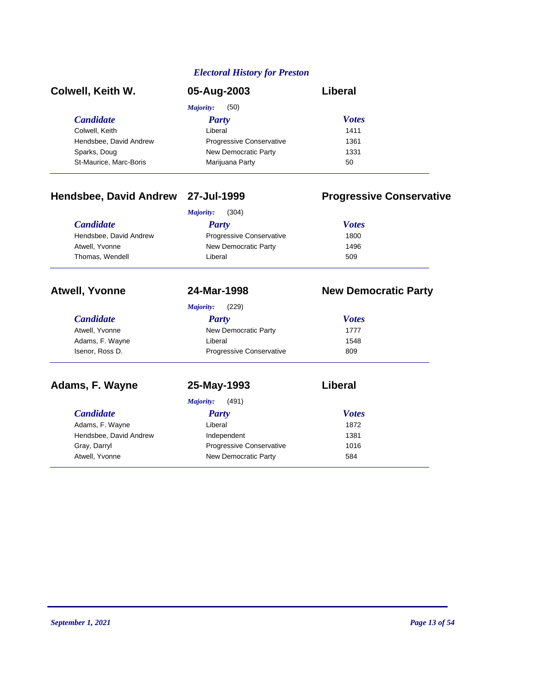### *Electoral History for Preston*

| Colwell, Keith W.      | 05-Aug-2003                     | Liberal      |  |
|------------------------|---------------------------------|--------------|--|
|                        | (50)<br>Majority:               |              |  |
| <i>Candidate</i>       | Party                           | <b>Votes</b> |  |
| Colwell, Keith         | Liberal                         | 1411         |  |
| Hendsbee, David Andrew | <b>Progressive Conservative</b> | 1361         |  |
| Sparks, Doug           | New Democratic Party            | 1331         |  |
| St-Maurice, Marc-Boris | Marijuana Party                 | 50           |  |

# **Hendsbee, David Andrew 27-Jul-1999 Progressive Conservative**

| (304)<br>Majority:                      |  |  |
|-----------------------------------------|--|--|
| <b>Votes</b>                            |  |  |
| <b>Progressive Conservative</b><br>1800 |  |  |
| New Democratic Party<br>1496            |  |  |
| 509                                     |  |  |
|                                         |  |  |

# **Atwell, Yvonne 24-Mar-1998 New Democratic Party**

| <b>Majority:</b> | (229) |
|------------------|-------|

| Party                           | <b>Votes</b> |  |
|---------------------------------|--------------|--|
| New Democratic Party            | 1777         |  |
| Liberal                         | 1548         |  |
| <b>Progressive Conservative</b> | 809          |  |
|                                 |              |  |

**Adams, F. Wayne 25-May-1993 Liberal**

|                        | (491)<br>Majority:              |              |  |
|------------------------|---------------------------------|--------------|--|
| <b>Candidate</b>       | Party                           | <b>Votes</b> |  |
| Adams, F. Wayne        | Liberal                         | 1872         |  |
| Hendsbee, David Andrew | Independent                     | 1381         |  |
| Gray, Darryl           | <b>Progressive Conservative</b> | 1016         |  |
| Atwell, Yvonne         | New Democratic Party            | 584          |  |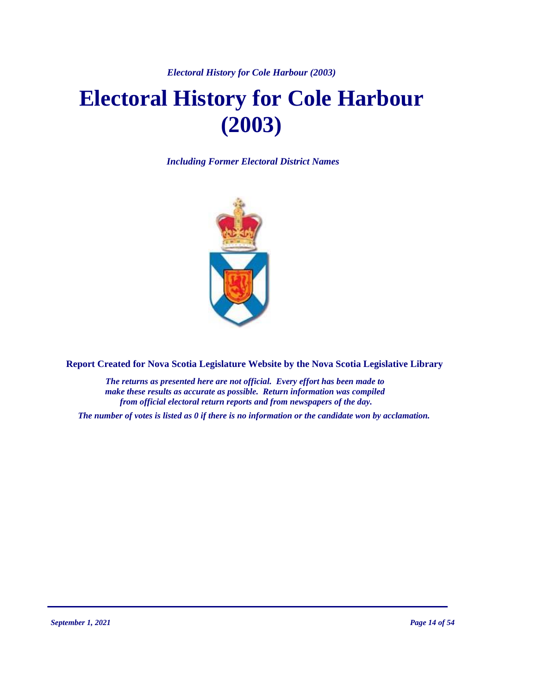*Electoral History for Cole Harbour (2003)*

# **Electoral History for Cole Harbour (2003)**

*Including Former Electoral District Names*



**Report Created for Nova Scotia Legislature Website by the Nova Scotia Legislative Library**

*The returns as presented here are not official. Every effort has been made to make these results as accurate as possible. Return information was compiled from official electoral return reports and from newspapers of the day.*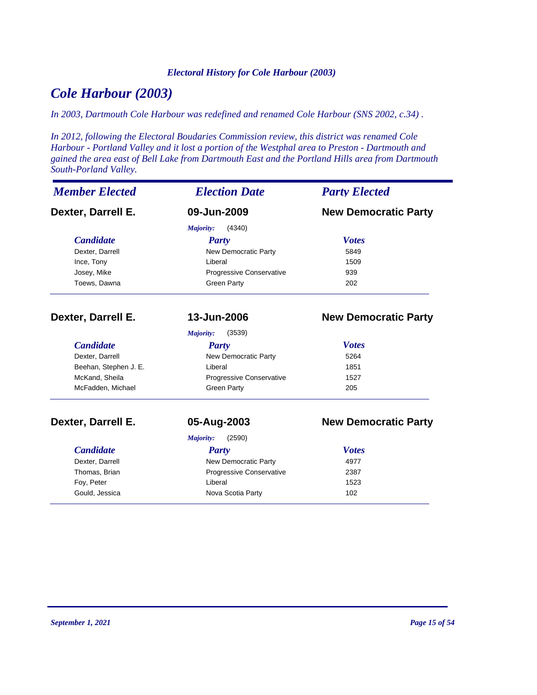### *Electoral History for Cole Harbour (2003)*

# *Cole Harbour (2003)*

*In 2003, Dartmouth Cole Harbour was redefined and renamed Cole Harbour (SNS 2002, c.34) .*

*In 2012, following the Electoral Boudaries Commission review, this district was renamed Cole Harbour - Portland Valley and it lost a portion of the Westphal area to Preston - Dartmouth and gained the area east of Bell Lake from Dartmouth East and the Portland Hills area from Dartmouth South-Porland Valley.*

| <b>Member Elected</b> | <b>Election Date</b>       | <b>Party Elected</b>        |
|-----------------------|----------------------------|-----------------------------|
| Dexter, Darrell E.    | 09-Jun-2009                | <b>New Democratic Party</b> |
|                       | Majority:<br>(4340)        |                             |
| <b>Candidate</b>      | <b>Party</b>               | <b>Votes</b>                |
| Dexter, Darrell       | New Democratic Party       | 5849                        |
| Ince, Tony            | Liberal                    | 1509                        |
| Josey, Mike           | Progressive Conservative   | 939                         |
| Toews, Dawna          | <b>Green Party</b>         | 202                         |
| Dexter, Darrell E.    | 13-Jun-2006                | <b>New Democratic Party</b> |
|                       | (3539)<br><b>Majority:</b> |                             |
| <b>Candidate</b>      | Party                      | <b>Votes</b>                |
| Dexter, Darrell       | New Democratic Party       | 5264                        |
| Beehan, Stephen J. E. | Liberal                    | 1851                        |
| McKand, Sheila        | Progressive Conservative   | 1527                        |
| McFadden, Michael     | <b>Green Party</b>         | 205                         |
| Dexter, Darrell E.    | 05-Aug-2003                | <b>New Democratic Party</b> |
|                       | <b>Majority:</b><br>(2590) |                             |
| <b>Candidate</b>      | Party                      | <b>Votes</b>                |
| Dexter, Darrell       | New Democratic Party       | 4977                        |
| Thomas, Brian         | Progressive Conservative   | 2387                        |
| Foy, Peter            | Liberal                    | 1523                        |
| Gould, Jessica        | Nova Scotia Party          | 102                         |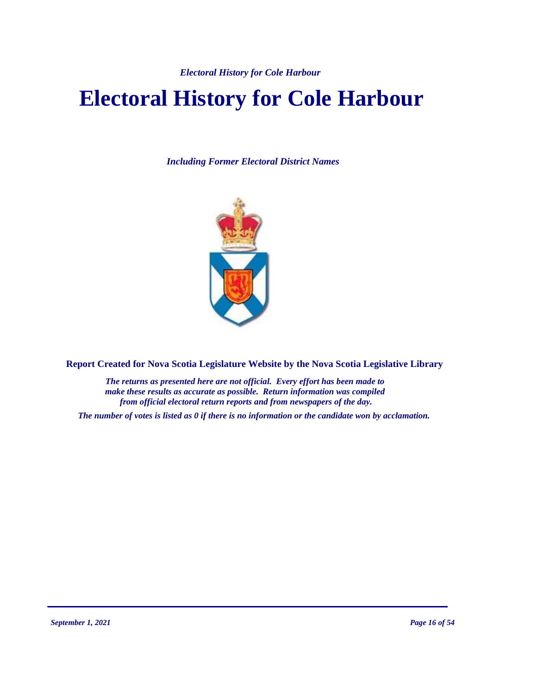*Electoral History for Cole Harbour* 

# **Electoral History for Cole Harbour**

*Including Former Electoral District Names*



**Report Created for Nova Scotia Legislature Website by the Nova Scotia Legislative Library**

*The returns as presented here are not official. Every effort has been made to make these results as accurate as possible. Return information was compiled from official electoral return reports and from newspapers of the day.*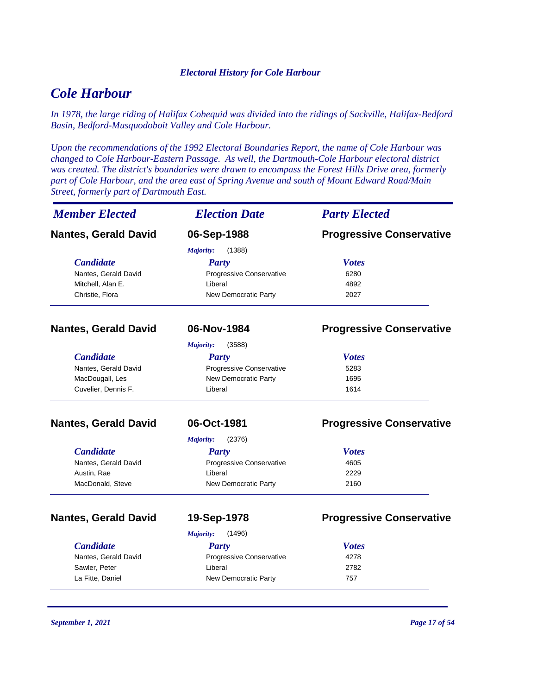### *Electoral History for Cole Harbour*

# *Cole Harbour*

*In 1978, the large riding of Halifax Cobequid was divided into the ridings of Sackville, Halifax-Bedford Basin, Bedford-Musquodoboit Valley and Cole Harbour.*

*Upon the recommendations of the 1992 Electoral Boundaries Report, the name of Cole Harbour was changed to Cole Harbour-Eastern Passage. As well, the Dartmouth-Cole Harbour electoral district was created. The district's boundaries were drawn to encompass the Forest Hills Drive area, formerly part of Cole Harbour, and the area east of Spring Avenue and south of Mount Edward Road/Main Street, formerly part of Dartmouth East.*

| <b>Member Elected</b>       | <b>Election Date</b>            | <b>Party Elected</b>            |
|-----------------------------|---------------------------------|---------------------------------|
| <b>Nantes, Gerald David</b> | 06-Sep-1988                     | <b>Progressive Conservative</b> |
|                             | (1388)<br>Majority:             |                                 |
| <b>Candidate</b>            | <b>Party</b>                    | <b>Votes</b>                    |
| Nantes, Gerald David        | Progressive Conservative        | 6280                            |
| Mitchell, Alan E.           | Liberal                         | 4892                            |
| Christie, Flora             | New Democratic Party            | 2027                            |
| <b>Nantes, Gerald David</b> | 06-Nov-1984                     | <b>Progressive Conservative</b> |
|                             | <b>Majority:</b><br>(3588)      |                                 |
| <b>Candidate</b>            | <b>Party</b>                    | <b>Votes</b>                    |
| Nantes, Gerald David        | Progressive Conservative        | 5283                            |
| MacDougall, Les             | New Democratic Party            | 1695                            |
| Cuvelier, Dennis F.         | Liberal                         | 1614                            |
| <b>Nantes, Gerald David</b> | 06-Oct-1981                     | <b>Progressive Conservative</b> |
|                             | (2376)<br>Majority:             |                                 |
| <b>Candidate</b>            | <b>Party</b>                    | <b>Votes</b>                    |
| Nantes, Gerald David        | <b>Progressive Conservative</b> | 4605                            |
| Austin, Rae                 | Liberal                         | 2229                            |
| MacDonald, Steve            | New Democratic Party            | 2160                            |
| <b>Nantes, Gerald David</b> | 19-Sep-1978                     | <b>Progressive Conservative</b> |
|                             | <b>Majority:</b><br>(1496)      |                                 |
| <b>Candidate</b>            | <b>Party</b>                    | <b>Votes</b>                    |
| Nantes, Gerald David        | Progressive Conservative        | 4278                            |
| Sawler, Peter               | Liberal                         | 2782                            |
| La Fitte, Daniel            | New Democratic Party            | 757                             |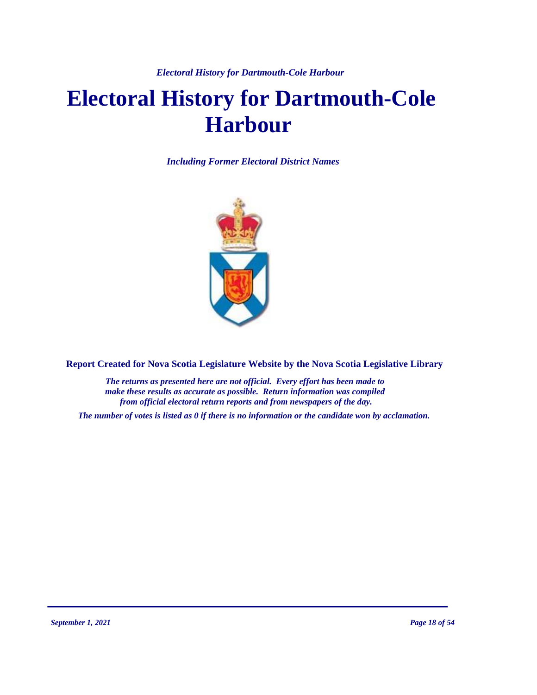*Electoral History for Dartmouth-Cole Harbour* 

# **Electoral History for Dartmouth-Cole Harbour**

*Including Former Electoral District Names*



**Report Created for Nova Scotia Legislature Website by the Nova Scotia Legislative Library**

*The returns as presented here are not official. Every effort has been made to make these results as accurate as possible. Return information was compiled from official electoral return reports and from newspapers of the day.*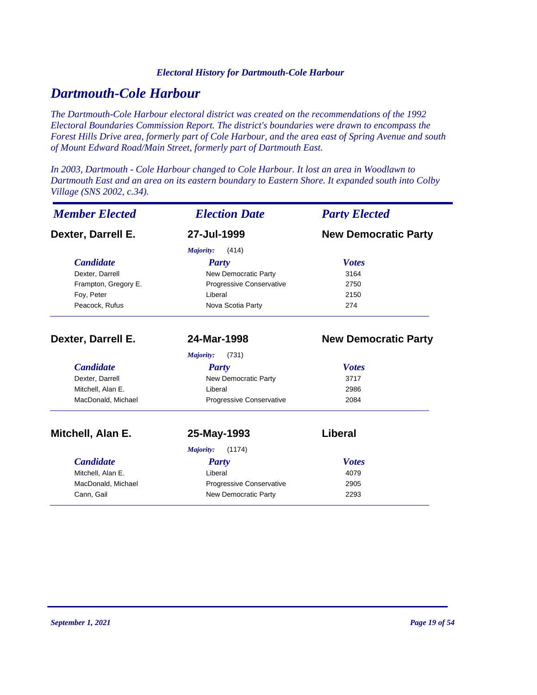### *Electoral History for Dartmouth-Cole Harbour*

# *Dartmouth-Cole Harbour*

*The Dartmouth-Cole Harbour electoral district was created on the recommendations of the 1992 Electoral Boundaries Commission Report. The district's boundaries were drawn to encompass the Forest Hills Drive area, formerly part of Cole Harbour, and the area east of Spring Avenue and south of Mount Edward Road/Main Street, formerly part of Dartmouth East.*

*In 2003, Dartmouth - Cole Harbour changed to Cole Harbour. It lost an area in Woodlawn to Dartmouth East and an area on its eastern boundary to Eastern Shore. It expanded south into Colby Village (SNS 2002, c.34).*

| <b>Member Elected</b> | <b>Election Date</b>     | <b>Party Elected</b>        |
|-----------------------|--------------------------|-----------------------------|
| Dexter, Darrell E.    | 27-Jul-1999              | <b>New Democratic Party</b> |
|                       | (414)<br>Majority:       |                             |
| <b>Candidate</b>      | <b>Party</b>             | <b>Votes</b>                |
| Dexter, Darrell       | New Democratic Party     | 3164                        |
| Frampton, Gregory E.  | Progressive Conservative | 2750                        |
| Foy, Peter            | Liberal                  | 2150                        |
| Peacock, Rufus        | Nova Scotia Party        | 274                         |
| Dexter, Darrell E.    | 24-Mar-1998              | <b>New Democratic Party</b> |
|                       | Majority:<br>(731)       |                             |
| <b>Candidate</b>      | <b>Party</b>             | <b>Votes</b>                |
| Dexter, Darrell       | New Democratic Party     | 3717                        |
| Mitchell, Alan E.     | Liberal                  | 2986                        |
| MacDonald, Michael    | Progressive Conservative | 2084                        |
| Mitchell, Alan E.     | 25-May-1993              | Liberal                     |
|                       | (1174)<br>Majority:      |                             |
| <b>Candidate</b>      | <b>Party</b>             | <b>Votes</b>                |
| Mitchell, Alan E.     | Liberal                  | 4079                        |
| MacDonald, Michael    | Progressive Conservative | 2905                        |
| Cann, Gail            | New Democratic Party     | 2293                        |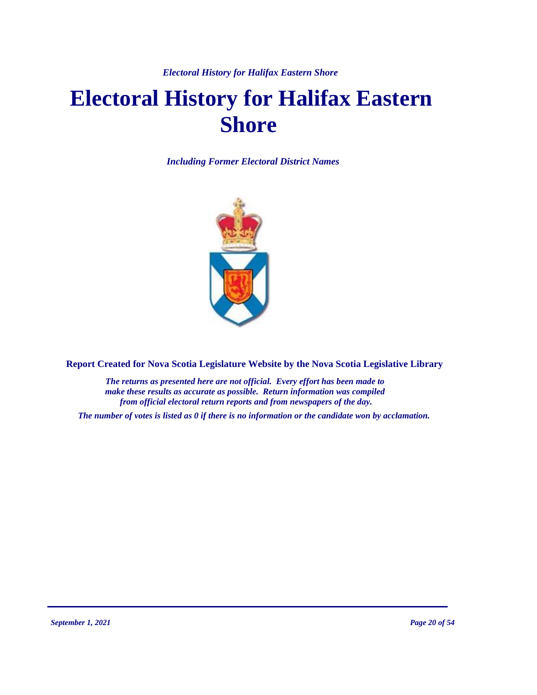*Electoral History for Halifax Eastern Shore* 

# **Electoral History for Halifax Eastern Shore**

*Including Former Electoral District Names*



**Report Created for Nova Scotia Legislature Website by the Nova Scotia Legislative Library**

*The returns as presented here are not official. Every effort has been made to make these results as accurate as possible. Return information was compiled from official electoral return reports and from newspapers of the day.*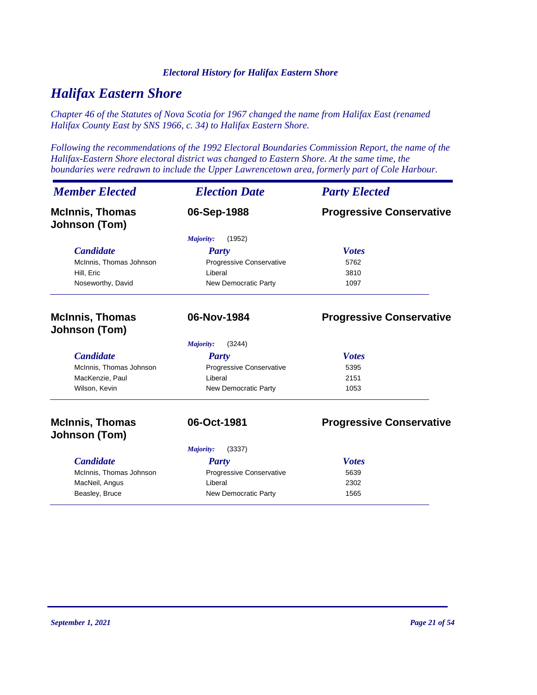### *Electoral History for Halifax Eastern Shore*

# *Halifax Eastern Shore*

*Chapter 46 of the Statutes of Nova Scotia for 1967 changed the name from Halifax East (renamed Halifax County East by SNS 1966, c. 34) to Halifax Eastern Shore.*

*Following the recommendations of the 1992 Electoral Boundaries Commission Report, the name of the Halifax-Eastern Shore electoral district was changed to Eastern Shore. At the same time, the boundaries were redrawn to include the Upper Lawrencetown area, formerly part of Cole Harbour.*

| <b>Member Elected</b>                          | <b>Election Date</b>        | <b>Party Elected</b>            |
|------------------------------------------------|-----------------------------|---------------------------------|
| <b>McInnis, Thomas</b><br>Johnson (Tom)        | 06-Sep-1988                 | <b>Progressive Conservative</b> |
|                                                | (1952)<br>Majority:         |                                 |
| <b>Candidate</b>                               | <b>Party</b>                | <b>Votes</b>                    |
| McInnis, Thomas Johnson                        | Progressive Conservative    | 5762                            |
| Hill, Eric                                     | Liberal                     | 3810                            |
| Noseworthy, David                              | <b>New Democratic Party</b> | 1097                            |
| <b>McInnis, Thomas</b><br><b>Johnson (Tom)</b> | 06-Nov-1984                 | <b>Progressive Conservative</b> |
|                                                | (3244)<br>Majority:         |                                 |
| <b>Candidate</b>                               | <b>Party</b>                | <b>Votes</b>                    |
| McInnis, Thomas Johnson                        | Progressive Conservative    | 5395                            |
| MacKenzie, Paul                                | Liberal                     | 2151                            |
| Wilson, Kevin                                  | New Democratic Party        | 1053                            |
| <b>McInnis, Thomas</b><br>Johnson (Tom)        | 06-Oct-1981                 | <b>Progressive Conservative</b> |
|                                                |                             |                                 |
|                                                | (3337)<br>Majority:         |                                 |
| <b>Candidate</b>                               | <b>Party</b>                | <b>Votes</b>                    |
| McInnis, Thomas Johnson                        | Progressive Conservative    | 5639                            |
| MacNeil, Angus                                 | Liberal                     | 2302                            |
| Beasley, Bruce                                 | New Democratic Party        | 1565                            |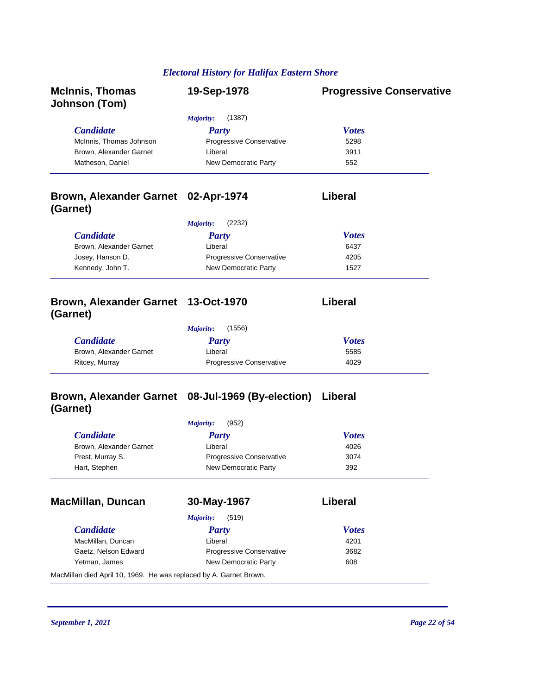# *Electoral History for Halifax Eastern Shore*

| <b>McInnis, Thomas</b><br><b>Johnson (Tom)</b>                     | 19-Sep-1978                                       | <b>Progressive Conservative</b> |
|--------------------------------------------------------------------|---------------------------------------------------|---------------------------------|
|                                                                    | (1387)<br><b>Majority:</b>                        |                                 |
| <b>Candidate</b>                                                   | <b>Party</b>                                      | <b>Votes</b>                    |
| McInnis, Thomas Johnson                                            | Progressive Conservative                          | 5298                            |
| Brown, Alexander Garnet                                            | Liberal                                           | 3911                            |
| Matheson, Daniel                                                   | New Democratic Party                              | 552                             |
| Brown, Alexander Garnet 02-Apr-1974<br>(Garnet)                    |                                                   | Liberal                         |
|                                                                    | <b>Majority:</b><br>(2232)                        |                                 |
| <b>Candidate</b>                                                   | <b>Party</b>                                      | <b>Votes</b>                    |
| Brown, Alexander Garnet                                            | Liberal                                           | 6437                            |
| Josey, Hanson D.                                                   | Progressive Conservative                          | 4205                            |
| Kennedy, John T.                                                   | New Democratic Party                              | 1527                            |
| Brown, Alexander Garnet 13-Oct-1970<br>(Garnet)                    |                                                   | Liberal                         |
|                                                                    | <b>Majority:</b><br>(1556)                        |                                 |
| <b>Candidate</b>                                                   | <b>Party</b>                                      | <b>Votes</b>                    |
| Brown, Alexander Garnet                                            | Liberal                                           | 5585                            |
| Ritcey, Murray                                                     | Progressive Conservative                          | 4029                            |
| (Garnet)                                                           | Brown, Alexander Garnet 08-Jul-1969 (By-election) | Liberal                         |
|                                                                    | <b>Majority:</b><br>(952)                         |                                 |
| <b>Candidate</b>                                                   | <b>Party</b>                                      | <b>Votes</b>                    |
| Brown, Alexander Garnet                                            | Liberal                                           | 4026                            |
| Prest, Murray S.                                                   | Progressive Conservative                          | 3074                            |
| Hart, Stephen                                                      | New Democratic Party                              | 392                             |
| <b>MacMillan, Duncan</b>                                           | 30-May-1967                                       | Liberal                         |
|                                                                    | (519)<br>Majority:                                |                                 |
| <b>Candidate</b>                                                   | <b>Party</b>                                      | <b>Votes</b>                    |
| MacMillan, Duncan                                                  | Liberal                                           | 4201                            |
| Gaetz, Nelson Edward                                               | Progressive Conservative                          | 3682                            |
| Yetman, James                                                      | New Democratic Party                              | 608                             |
| MacMillan died April 10, 1969. He was replaced by A. Garnet Brown. |                                                   |                                 |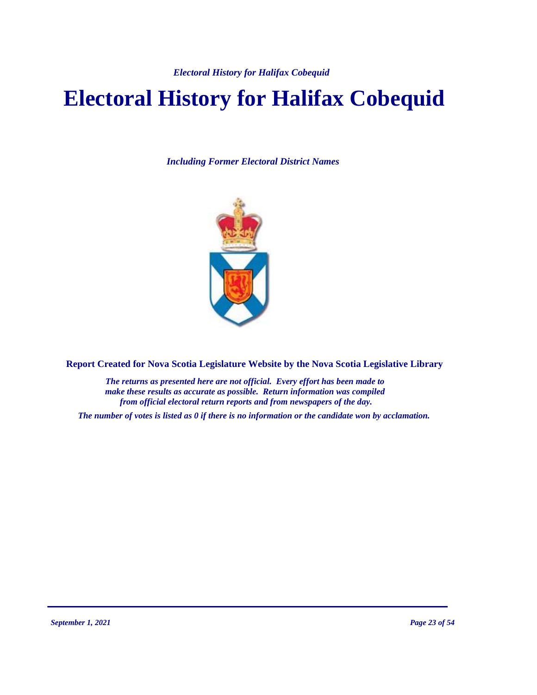*Electoral History for Halifax Cobequid*

# **Electoral History for Halifax Cobequid**

*Including Former Electoral District Names*



**Report Created for Nova Scotia Legislature Website by the Nova Scotia Legislative Library**

*The returns as presented here are not official. Every effort has been made to make these results as accurate as possible. Return information was compiled from official electoral return reports and from newspapers of the day.*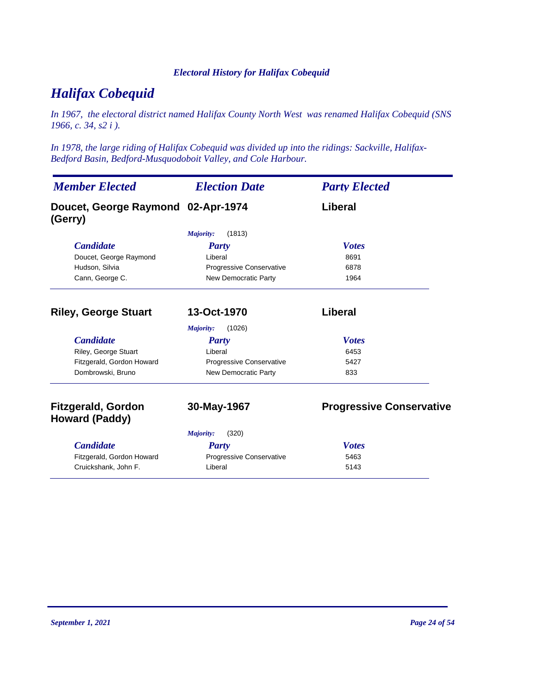### *Electoral History for Halifax Cobequid*

# *Halifax Cobequid*

*In 1967, the electoral district named Halifax County North West was renamed Halifax Cobequid (SNS 1966, c. 34, s2 i ).*

*In 1978, the large riding of Halifax Cobequid was divided up into the ridings: Sackville, Halifax-Bedford Basin, Bedford-Musquodoboit Valley, and Cole Harbour.*

| <b>Member Elected</b>                              | <b>Election Date</b>        | <b>Party Elected</b>            |
|----------------------------------------------------|-----------------------------|---------------------------------|
| Doucet, George Raymond 02-Apr-1974<br>(Gerry)      |                             | Liberal                         |
|                                                    | (1813)<br>Majority:         |                                 |
| <b>Candidate</b>                                   | <b>Party</b>                | <b>Votes</b>                    |
| Doucet, George Raymond                             | Liberal                     | 8691                            |
| Hudson, Silvia                                     | Progressive Conservative    | 6878                            |
| Cann, George C.                                    | <b>New Democratic Party</b> | 1964                            |
| <b>Riley, George Stuart</b>                        | 13-Oct-1970                 | Liberal                         |
|                                                    | (1026)<br><b>Majority:</b>  |                                 |
| <b>Candidate</b>                                   | <b>Party</b>                | <b>Votes</b>                    |
| Riley, George Stuart                               | Liberal                     | 6453                            |
| Fitzgerald, Gordon Howard                          | Progressive Conservative    | 5427                            |
| Dombrowski, Bruno                                  | <b>New Democratic Party</b> | 833                             |
| <b>Fitzgerald, Gordon</b><br><b>Howard (Paddy)</b> | 30-May-1967                 | <b>Progressive Conservative</b> |
|                                                    | (320)<br>Majority:          |                                 |
| <b>Candidate</b>                                   | Party                       | <b>Votes</b>                    |
| Fitzgerald, Gordon Howard                          | Progressive Conservative    | 5463                            |
| Cruickshank, John F.                               | Liberal                     | 5143                            |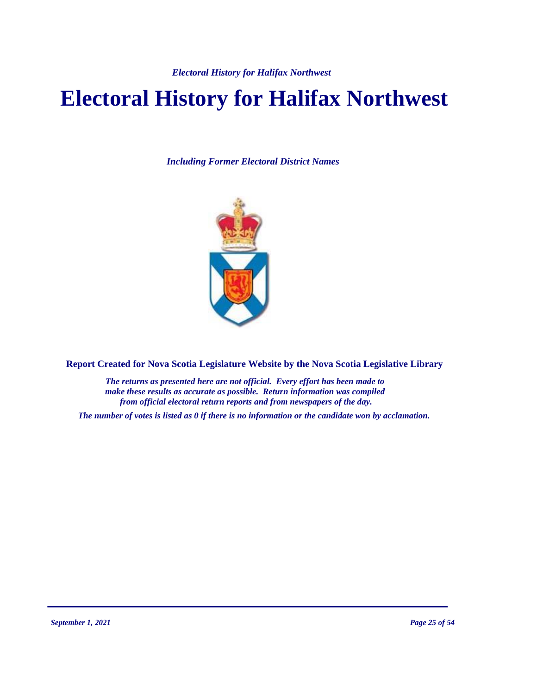# **Electoral History for Halifax Northwest**

*Including Former Electoral District Names*



**Report Created for Nova Scotia Legislature Website by the Nova Scotia Legislative Library**

*The returns as presented here are not official. Every effort has been made to make these results as accurate as possible. Return information was compiled from official electoral return reports and from newspapers of the day.*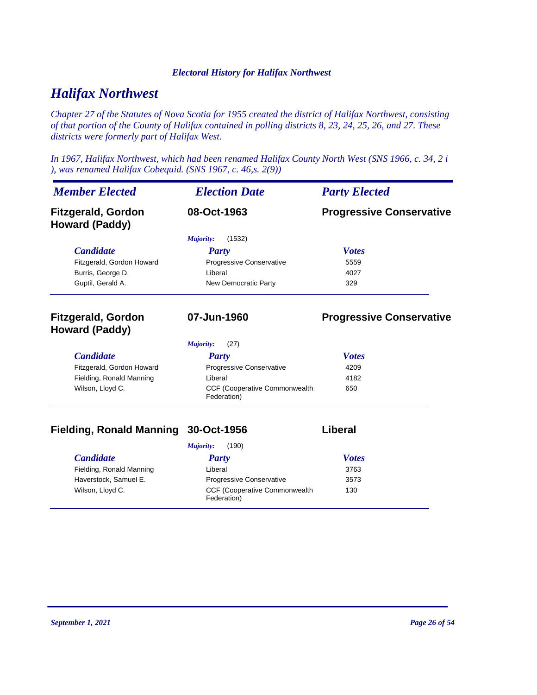# *Halifax Northwest*

*Chapter 27 of the Statutes of Nova Scotia for 1955 created the district of Halifax Northwest, consisting of that portion of the County of Halifax contained in polling districts 8, 23, 24, 25, 26, and 27. These districts were formerly part of Halifax West.*

*In 1967, Halifax Northwest, which had been renamed Halifax County North West (SNS 1966, c. 34, 2 i ), was renamed Halifax Cobequid. (SNS 1967, c. 46,s. 2(9))*

| <b>Member Elected</b>                              | <b>Election Date</b>                         | <b>Party Elected</b>            |
|----------------------------------------------------|----------------------------------------------|---------------------------------|
| <b>Fitzgerald, Gordon</b><br><b>Howard (Paddy)</b> | 08-Oct-1963                                  | <b>Progressive Conservative</b> |
|                                                    | (1532)<br>Majority:                          |                                 |
| <b>Candidate</b>                                   | <b>Party</b>                                 | <b>Votes</b>                    |
| Fitzgerald, Gordon Howard                          | Progressive Conservative                     | 5559                            |
| Burris, George D.                                  | I iberal                                     | 4027                            |
| Guptil, Gerald A.                                  | New Democratic Party                         | 329                             |
| <b>Fitzgerald, Gordon</b><br><b>Howard (Paddy)</b> | 07-Jun-1960                                  | <b>Progressive Conservative</b> |
|                                                    | (27)<br>Majority:                            |                                 |
| <b>Candidate</b>                                   | <b>Party</b>                                 | <b>Votes</b>                    |
| Fitzgerald, Gordon Howard                          | Progressive Conservative                     | 4209                            |
| Fielding, Ronald Manning                           | Liberal                                      | 4182                            |
| Wilson, Lloyd C.                                   | CCF (Cooperative Commonwealth<br>Federation) | 650                             |

# **Fielding, Ronald Manning 30-Oct-1956 Liberal**

| (190)<br>Majority:       |                                                      |              |
|--------------------------|------------------------------------------------------|--------------|
| <i>Candidate</i>         | Party                                                | <b>Votes</b> |
| Fielding, Ronald Manning | Liberal                                              | 3763         |
| Haverstock, Samuel E.    | <b>Progressive Conservative</b>                      | 3573         |
| Wilson, Lloyd C.         | <b>CCF (Cooperative Commonwealth)</b><br>Federation) | 130          |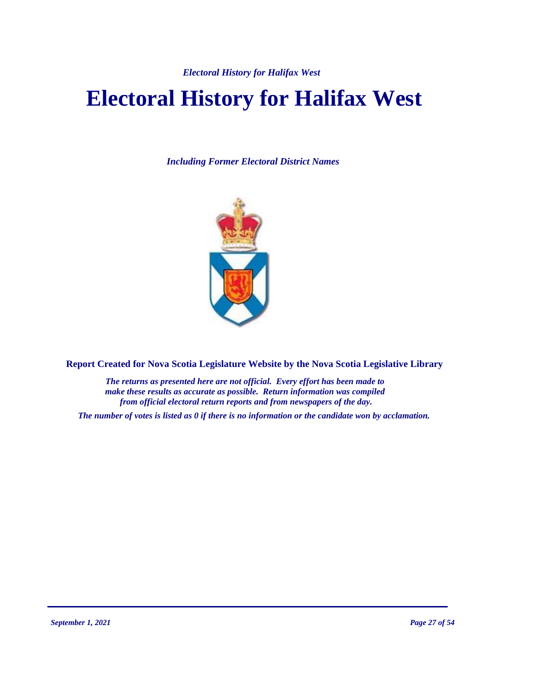# **Electoral History for Halifax West**

*Including Former Electoral District Names*



**Report Created for Nova Scotia Legislature Website by the Nova Scotia Legislative Library**

*The returns as presented here are not official. Every effort has been made to make these results as accurate as possible. Return information was compiled from official electoral return reports and from newspapers of the day.*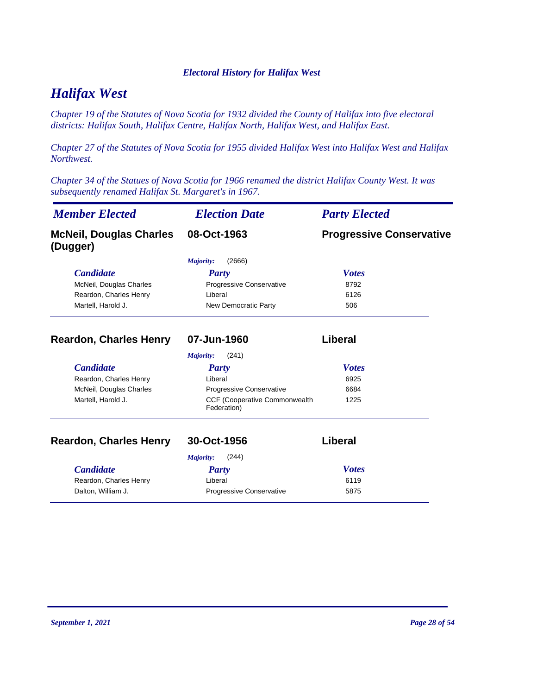# *Halifax West*

*Chapter 19 of the Statutes of Nova Scotia for 1932 divided the County of Halifax into five electoral districts: Halifax South, Halifax Centre, Halifax North, Halifax West, and Halifax East.*

*Chapter 27 of the Statutes of Nova Scotia for 1955 divided Halifax West into Halifax West and Halifax Northwest.*

*Chapter 34 of the Statues of Nova Scotia for 1966 renamed the district Halifax County West. It was subsequently renamed Halifax St. Margaret's in 1967.*

| <b>Member Elected</b>                      | <b>Election Date</b>                         | <b>Party Elected</b>            |
|--------------------------------------------|----------------------------------------------|---------------------------------|
| <b>McNeil, Douglas Charles</b><br>(Dugger) | 08-Oct-1963                                  | <b>Progressive Conservative</b> |
|                                            | (2666)<br>Majority:                          |                                 |
| <b>Candidate</b>                           | Party                                        | <b>Votes</b>                    |
| McNeil, Douglas Charles                    | Progressive Conservative                     | 8792                            |
| Reardon, Charles Henry                     | Liberal                                      | 6126                            |
| Martell, Harold J.                         | New Democratic Party                         | 506                             |
| <b>Reardon, Charles Henry</b>              | 07-Jun-1960                                  | Liberal                         |
|                                            | (241)<br>Majority:                           |                                 |
| <b>Candidate</b>                           | <b>Party</b>                                 | <b>Votes</b>                    |
| Reardon, Charles Henry                     | Liberal                                      | 6925                            |
| McNeil, Douglas Charles                    | Progressive Conservative                     | 6684                            |
| Martell, Harold J.                         | CCF (Cooperative Commonwealth<br>Federation) | 1225                            |
| <b>Reardon, Charles Henry</b>              | 30-Oct-1956                                  | Liberal                         |
|                                            | Majority:<br>(244)                           |                                 |
| <b>Candidate</b>                           | Party                                        | <b>Votes</b>                    |
| Reardon, Charles Henry                     | Liberal                                      | 6119                            |
| Dalton, William J.                         | Progressive Conservative                     | 5875                            |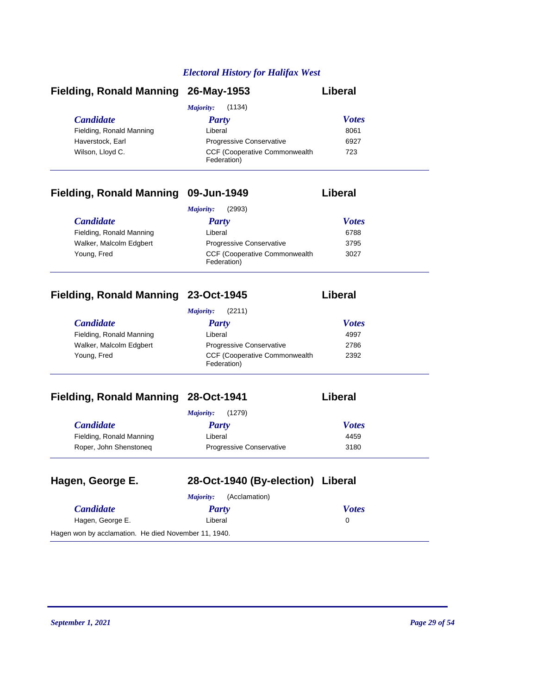| Fielding, Ronald Manning 26-May-1953 |                                                      | Liberal      |
|--------------------------------------|------------------------------------------------------|--------------|
|                                      | (1134)<br>Majority:                                  |              |
| <i>Candidate</i>                     | Party                                                | <b>Votes</b> |
| Fielding, Ronald Manning             | Liberal                                              | 8061         |
| Haverstock, Earl                     | <b>Progressive Conservative</b>                      | 6927         |
| Wilson, Lloyd C.                     | <b>CCF (Cooperative Commonwealth)</b><br>Federation) | 723          |

# **Fielding, Ronald Manning 09-Jun-1949 Liberal**

|                          | (2993)<br>Majority:                                  |              |  |
|--------------------------|------------------------------------------------------|--------------|--|
| <i>Candidate</i>         | Party                                                | <b>Votes</b> |  |
| Fielding, Ronald Manning | Liberal                                              | 6788         |  |
| Walker, Malcolm Edgbert  | <b>Progressive Conservative</b>                      | 3795         |  |
| Young, Fred              | <b>CCF (Cooperative Commonwealth)</b><br>Federation) | 3027         |  |

# **Fielding, Ronald Manning 23-Oct-1945 Liberal**

|                          | (2211)<br>Maiority:                                  |              |  |
|--------------------------|------------------------------------------------------|--------------|--|
| <b>Candidate</b>         | Party                                                | <b>Votes</b> |  |
| Fielding, Ronald Manning | Liberal                                              | 4997         |  |
| Walker, Malcolm Edgbert  | <b>Progressive Conservative</b>                      | 2786         |  |
| Young, Fred              | <b>CCF (Cooperative Commonwealth)</b><br>Federation) | 2392         |  |

# **Fielding, Ronald Manning 28-Oct-1941**

|                          | (1279)<br>Majority:             |              |
|--------------------------|---------------------------------|--------------|
| <i>Candidate</i>         | Party                           | <b>Votes</b> |
| Fielding, Ronald Manning | Liberal                         | 4459         |
| Roper, John Shenstoneg   | <b>Progressive Conservative</b> | 3180         |

| Hagen, George E.                                     | 28-Oct-1940 (By-election) Liberal |              |
|------------------------------------------------------|-----------------------------------|--------------|
|                                                      | (Acclamation)<br>Majority:        |              |
| <b>Candidate</b>                                     | Party                             | <b>Votes</b> |
| Hagen, George E.                                     | Liberal                           | 0            |
| Hagen won by acclamation. He died November 11, 1940. |                                   |              |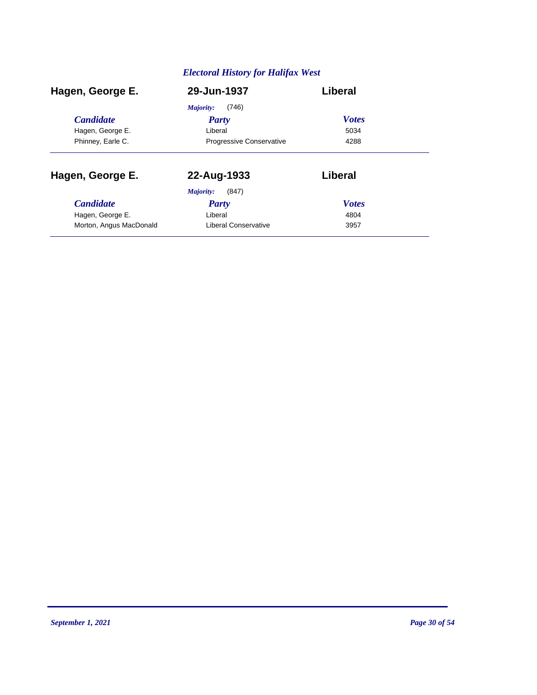| Hagen, George E.        | 29-Jun-1937                     | Liberal      |
|-------------------------|---------------------------------|--------------|
|                         | (746)<br>Majority:              |              |
| <b>Candidate</b>        | <b>Party</b>                    | <b>Votes</b> |
| Hagen, George E.        | Liberal                         | 5034         |
| Phinney, Earle C.       | <b>Progressive Conservative</b> | 4288         |
| Hagen, George E.        | 22-Aug-1933                     | Liberal      |
|                         | (847)<br>Majority:              |              |
| <b>Candidate</b>        | Party                           | <b>Votes</b> |
| Hagen, George E.        | Liberal                         | 4804         |
| Morton, Angus MacDonald | Liberal Conservative            | 3957         |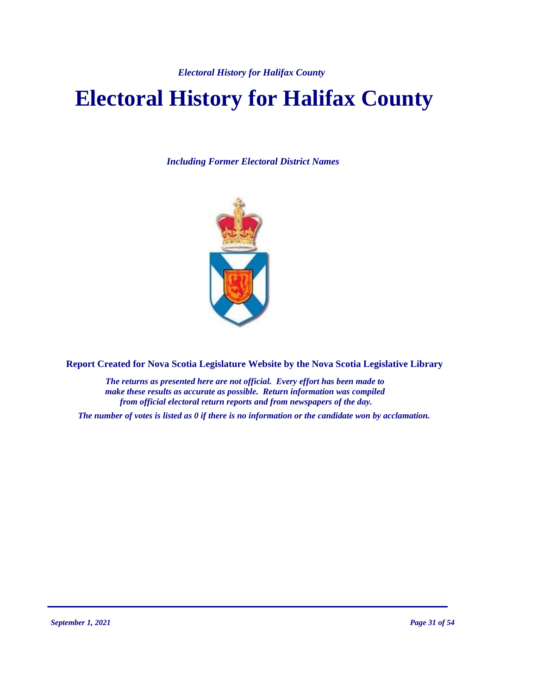# **Electoral History for Halifax County**

*Including Former Electoral District Names*



**Report Created for Nova Scotia Legislature Website by the Nova Scotia Legislative Library**

*The returns as presented here are not official. Every effort has been made to make these results as accurate as possible. Return information was compiled from official electoral return reports and from newspapers of the day.*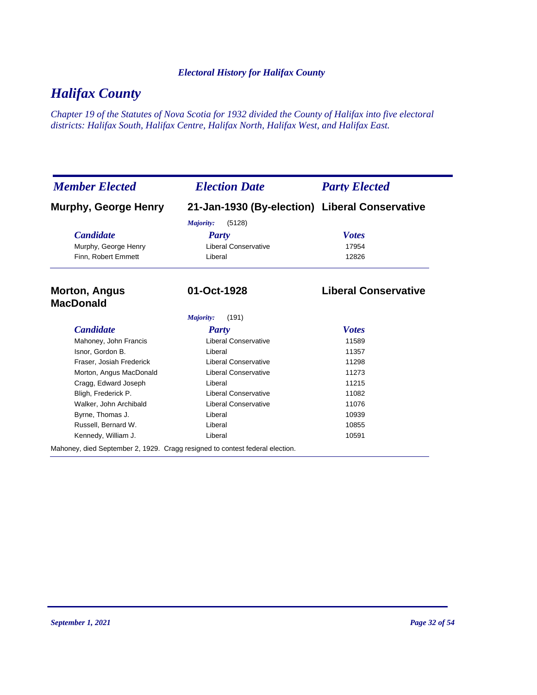# *Halifax County*

*Chapter 19 of the Statutes of Nova Scotia for 1932 divided the County of Halifax into five electoral districts: Halifax South, Halifax Centre, Halifax North, Halifax West, and Halifax East.*

| <b>Member Elected</b>                                                        | <b>Election Date</b>                           | <b>Party Elected</b>        |
|------------------------------------------------------------------------------|------------------------------------------------|-----------------------------|
| <b>Murphy, George Henry</b>                                                  | 21-Jan-1930 (By-election) Liberal Conservative |                             |
|                                                                              | (5128)<br>Majority:                            |                             |
| <b>Candidate</b>                                                             | Party                                          | <b>Votes</b>                |
| Murphy, George Henry                                                         | <b>Liberal Conservative</b>                    | 17954                       |
| Finn, Robert Emmett                                                          | Liberal                                        | 12826                       |
| <b>Morton, Angus</b><br><b>MacDonald</b>                                     | 01-Oct-1928                                    | <b>Liberal Conservative</b> |
|                                                                              | Majority:<br>(191)                             |                             |
| <b>Candidate</b>                                                             | <b>Party</b>                                   | <b>Votes</b>                |
| Mahoney, John Francis                                                        | <b>Liberal Conservative</b>                    | 11589                       |
| Isnor, Gordon B.                                                             | Liberal                                        | 11357                       |
| Fraser, Josiah Frederick                                                     | <b>Liberal Conservative</b>                    | 11298                       |
| Morton, Angus MacDonald                                                      | <b>Liberal Conservative</b>                    | 11273                       |
| Cragg, Edward Joseph                                                         | Liberal                                        | 11215                       |
| Bligh, Frederick P.                                                          | <b>Liberal Conservative</b>                    | 11082                       |
| Walker, John Archibald                                                       | <b>Liberal Conservative</b>                    | 11076                       |
| Byrne, Thomas J.                                                             | Liberal                                        | 10939                       |
| Russell, Bernard W.                                                          | Liberal                                        | 10855                       |
| Kennedy, William J.                                                          | Liberal                                        | 10591                       |
| Mahoney, died September 2, 1929. Cragg resigned to contest federal election. |                                                |                             |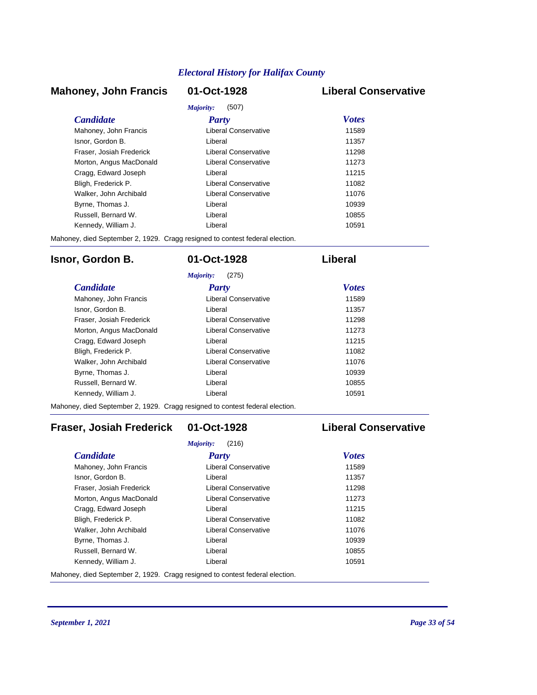## **Mahoney, John Francis 01-Oct-1928 Liberal Conservative**

| Majority:<br>(507)       |                      |              |
|--------------------------|----------------------|--------------|
| <i>Candidate</i>         | Party                | <b>Votes</b> |
| Mahoney, John Francis    | Liberal Conservative | 11589        |
| Isnor, Gordon B.         | Liberal              | 11357        |
| Fraser, Josiah Frederick | Liberal Conservative | 11298        |
| Morton, Angus MacDonald  | Liberal Conservative | 11273        |
| Cragg, Edward Joseph     | I iberal             | 11215        |
| Bligh, Frederick P.      | Liberal Conservative | 11082        |
| Walker, John Archibald   | Liberal Conservative | 11076        |
| Byrne, Thomas J.         | Liberal              | 10939        |
| Russell, Bernard W.      | I iberal             | 10855        |
| Kennedy, William J.      | I iberal             | 10591        |

Mahoney, died September 2, 1929. Cragg resigned to contest federal election.

## **Isnor, Gordon B. 01-Oct-1928 Liberal**

| (275)<br>Majority:       |                      |              |
|--------------------------|----------------------|--------------|
| <b>Candidate</b>         | Party                | <b>Votes</b> |
| Mahoney, John Francis    | Liberal Conservative | 11589        |
| Isnor, Gordon B.         | Liberal              | 11357        |
| Fraser, Josiah Frederick | Liberal Conservative | 11298        |
| Morton, Angus MacDonald  | Liberal Conservative | 11273        |
| Cragg, Edward Joseph     | Liberal              | 11215        |
| Bligh, Frederick P.      | Liberal Conservative | 11082        |
| Walker, John Archibald   | Liberal Conservative | 11076        |
| Byrne, Thomas J.         | I iberal             | 10939        |
| Russell, Bernard W.      | I iberal             | 10855        |
| Kennedy, William J.      | Liberal              | 10591        |

Mahoney, died September 2, 1929. Cragg resigned to contest federal election.

# **Fraser, Josiah Frederick 01-Oct-1928 Liberal Conservative**

| Majority:<br>(216)       |                      |              |  |
|--------------------------|----------------------|--------------|--|
| <b>Candidate</b>         | Party                | <b>Votes</b> |  |
| Mahoney, John Francis    | Liberal Conservative | 11589        |  |
| Isnor, Gordon B.         | Liberal              | 11357        |  |
| Fraser, Josiah Frederick | Liberal Conservative | 11298        |  |
| Morton, Angus MacDonald  | Liberal Conservative | 11273        |  |
| Cragg, Edward Joseph     | Liberal              | 11215        |  |
| Bligh, Frederick P.      | Liberal Conservative | 11082        |  |
| Walker, John Archibald   | Liberal Conservative | 11076        |  |
| Byrne, Thomas J.         | Liberal              | 10939        |  |
| Russell, Bernard W.      | Liberal              | 10855        |  |
| Kennedy, William J.      | Liberal              | 10591        |  |

Mahoney, died September 2, 1929. Cragg resigned to contest federal election.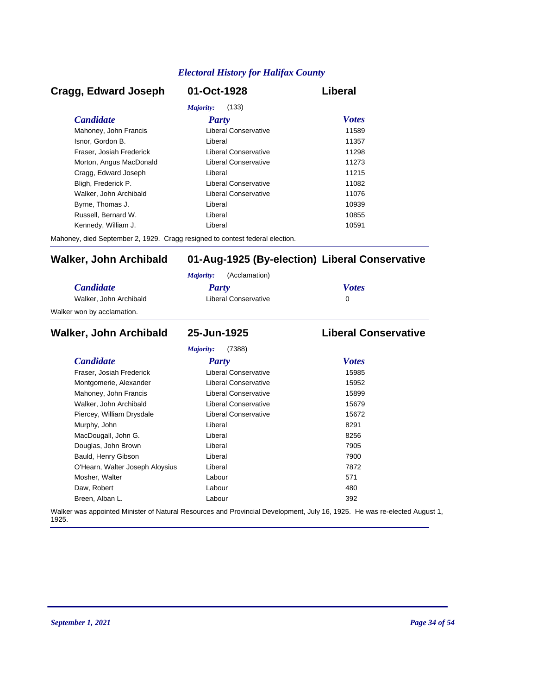## *Candidate Party Votes* **Cragg, Edward Joseph 01-Oct-1928 Liberal** *Majority:* (133) Mahoney, John Francis **Liberal Conservative** 11589 Isnor, Gordon B. Liberal 11357 Fraser, Josiah Frederick Liberal Conservative 11298 Morton, Angus MacDonald **Liberal Conservative** 11273 Cragg, Edward Joseph Liberal 11215 Bligh, Frederick P. Liberal Conservative 11082 Walker, John Archibald **Liberal Conservative** 11076 Byrne, Thomas J. Christian Liberal Liberal Christian Museum and the 10939 Russell, Bernard W. Liberal 10855 Kennedy, William J. Christian Liberal Liberal Christian Museum of the 10591

Mahoney, died September 2, 1929. Cragg resigned to contest federal election.

## **Walker, John Archibald 01-Aug-1925 (By-election) Liberal Conservative**

|                            | (Acclamation)<br>Maiority: |              |
|----------------------------|----------------------------|--------------|
| <i>Candidate</i>           | Party                      | <b>Votes</b> |
| Walker, John Archibald     | Liberal Conservative       |              |
| Walker won by acclamation. |                            |              |

### *Candidate Party Votes* **Walker, John Archibald 25-Jun-1925 Liberal Conservative** *Majority:* (7388) Fraser, Josiah Frederick Liberal Conservative 15985 Montgomerie, Alexander **Liberal Conservative** 15952 Mahoney, John Francis **Liberal Conservative** 15899 Walker, John Archibald **Liberal Conservative** 15679 Piercey, William Drysdale **Liberal Conservative** 15672 Murphy, John **Base Communist Communist Communist Communist Communist Communist Communist Communist Communist Communist Communist Communist Communist Communist Communist Communist Communist Communist Communist Communist Com** MacDougall, John G. Christian Muslim Liberal Christian Muslim Bacher 8256 Douglas, John Brown **Digest Example 2018** Liberal *T905* 7905 Bauld, Henry Gibson Liberal 7900 O'Hearn, Walter Joseph Aloysius Liberal Liberal 27872 Mosher, Walter **Contract Contract Contract Contract Contract Contract Contract Contract Contract Contract Contract Contract Contract Contract Contract Contract Contract Contract Contract Contract Contract Contract Contract** Daw, Robert 280 and 200 km control and 200 km control and 200 km control and 200 km control and 200 km control and 200 km control and 200 km control and 200 km control and 200 km control and 200 km control and 200 km contr Breen, Alban L. Labour 392

Walker was appointed Minister of Natural Resources and Provincial Development, July 16, 1925. He was re-elected August 1, 1925.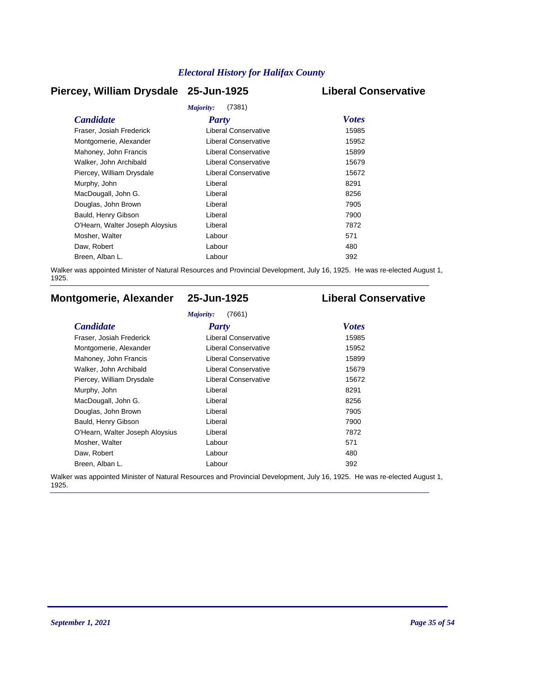## **Piercey, William Drysdale 25-Jun-1925 Liberal Conservative**

| Majority:<br>(7381)             |                             |              |  |  |
|---------------------------------|-----------------------------|--------------|--|--|
| <b>Candidate</b>                | <b>Party</b>                | <b>Votes</b> |  |  |
| Fraser, Josiah Frederick        | Liberal Conservative        | 15985        |  |  |
| Montgomerie, Alexander          | Liberal Conservative        | 15952        |  |  |
| Mahoney, John Francis           | <b>Liberal Conservative</b> | 15899        |  |  |
| Walker, John Archibald          | <b>Liberal Conservative</b> | 15679        |  |  |
| Piercey, William Drysdale       | Liberal Conservative        | 15672        |  |  |
| Murphy, John                    | Liberal                     | 8291         |  |  |
| MacDougall, John G.             | Liberal                     | 8256         |  |  |
| Douglas, John Brown             | Liberal                     | 7905         |  |  |
| Bauld, Henry Gibson             | Liberal                     | 7900         |  |  |
| O'Hearn, Walter Joseph Aloysius | Liberal                     | 7872         |  |  |
| Mosher, Walter                  | Labour                      | 571          |  |  |
| Daw, Robert                     | Labour                      | 480          |  |  |
| Breen, Alban L.                 | Labour                      | 392          |  |  |
|                                 |                             |              |  |  |

Walker was appointed Minister of Natural Resources and Provincial Development, July 16, 1925. He was re-elected August 1, 1925.

# **Montgomerie, Alexander 25-Jun-1925 Liberal Conservative**

### *Majority:* (7661)

| <b>Candidate</b>                | Party                       | <b>Votes</b> |
|---------------------------------|-----------------------------|--------------|
| Fraser, Josiah Frederick        | Liberal Conservative        | 15985        |
| Montgomerie, Alexander          | Liberal Conservative        | 15952        |
| Mahoney, John Francis           | <b>Liberal Conservative</b> | 15899        |
| Walker, John Archibald          | <b>Liberal Conservative</b> | 15679        |
| Piercey, William Drysdale       | Liberal Conservative        | 15672        |
| Murphy, John                    | Liberal                     | 8291         |
| MacDougall, John G.             | Liberal                     | 8256         |
| Douglas, John Brown             | Liberal                     | 7905         |
| Bauld, Henry Gibson             | Liberal                     | 7900         |
| O'Hearn, Walter Joseph Aloysius | Liberal                     | 7872         |
| Mosher, Walter                  | Labour                      | 571          |
| Daw, Robert                     | Labour                      | 480          |
| Breen, Alban L.                 | Labour                      | 392          |

Walker was appointed Minister of Natural Resources and Provincial Development, July 16, 1925. He was re-elected August 1, 1925.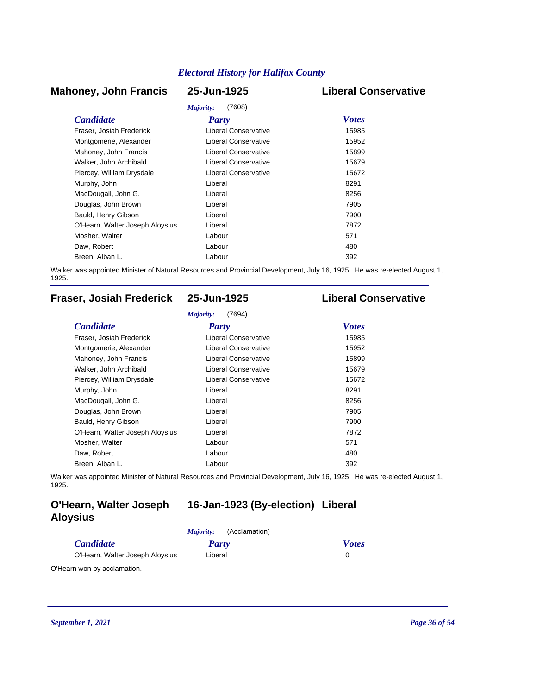## **Mahoney, John Francis 25-Jun-1925 Liberal Conservative**

# *Majority:* (7608)

| <i>Majority:</i><br>(7608)      |                             |              |  |  |
|---------------------------------|-----------------------------|--------------|--|--|
| <b>Candidate</b>                | <b>Party</b>                | <b>Votes</b> |  |  |
| Fraser, Josiah Frederick        | Liberal Conservative        | 15985        |  |  |
| Montgomerie, Alexander          | <b>Liberal Conservative</b> | 15952        |  |  |
| Mahoney, John Francis           | Liberal Conservative        | 15899        |  |  |
| Walker, John Archibald          | Liberal Conservative        | 15679        |  |  |
| Piercey, William Drysdale       | Liberal Conservative        | 15672        |  |  |
| Murphy, John                    | Liberal                     | 8291         |  |  |
| MacDougall, John G.             | Liberal                     | 8256         |  |  |
| Douglas, John Brown             | Liberal                     | 7905         |  |  |
| Bauld, Henry Gibson             | Liberal                     | 7900         |  |  |
| O'Hearn, Walter Joseph Aloysius | Liberal                     | 7872         |  |  |
| Mosher, Walter                  | Labour                      | 571          |  |  |
| Daw, Robert                     | Labour                      | 480          |  |  |
| Breen, Alban L.                 | Labour                      | 392          |  |  |

Walker was appointed Minister of Natural Resources and Provincial Development, July 16, 1925. He was re-elected August 1, 1925.

# **Fraser, Josiah Frederick 25-Jun-1925 Liberal Conservative**

| <b>Candidate</b>                | Party                       | <b>Votes</b> |
|---------------------------------|-----------------------------|--------------|
| Fraser, Josiah Frederick        | <b>Liberal Conservative</b> | 15985        |
| Montgomerie, Alexander          | Liberal Conservative        | 15952        |
| Mahoney, John Francis           | <b>Liberal Conservative</b> | 15899        |
| Walker, John Archibald          | Liberal Conservative        | 15679        |
| Piercey, William Drysdale       | <b>Liberal Conservative</b> | 15672        |
| Murphy, John                    | Liberal                     | 8291         |
| MacDougall, John G.             | Liberal                     | 8256         |
| Douglas, John Brown             | Liberal                     | 7905         |
| Bauld, Henry Gibson             | Liberal                     | 7900         |
| O'Hearn, Walter Joseph Aloysius | Liberal                     | 7872         |
| Mosher, Walter                  | Labour                      | 571          |
| Daw, Robert                     | Labour                      | 480          |
| Breen, Alban L.                 | Labour                      | 392          |

Walker was appointed Minister of Natural Resources and Provincial Development, July 16, 1925. He was re-elected August 1, 1925.

## **O'Hearn, Walter Joseph 16-Jan-1923 (By-election) Liberal Aloysius**

|                                 | (Acclamation)<br><i>Majority:</i> |              |
|---------------------------------|-----------------------------------|--------------|
| <i>Candidate</i>                | Party                             | <b>Votes</b> |
| O'Hearn, Walter Joseph Aloysius | Liberal                           |              |
| O'Hearn won by acclamation.     |                                   |              |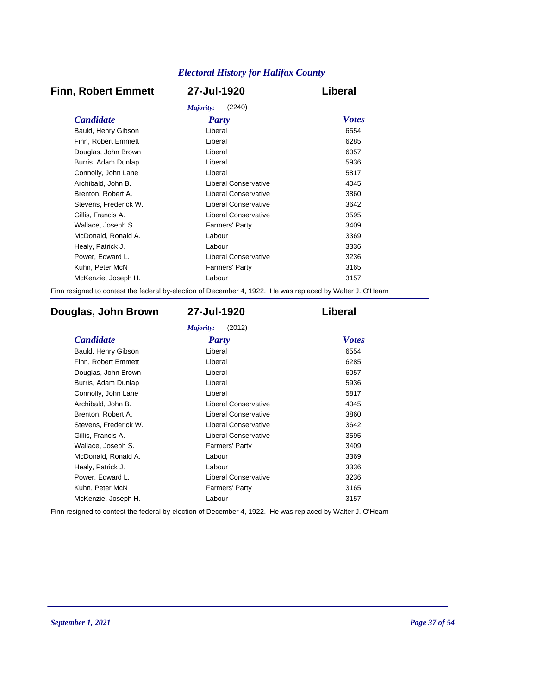# **Finn, Robert Emmett 27-Jul-1920 Liberal**

| (2240)<br>Majority:   |                             |              |  |
|-----------------------|-----------------------------|--------------|--|
| <i>Candidate</i>      | <b>Party</b>                | <b>Votes</b> |  |
| Bauld, Henry Gibson   | Liberal                     | 6554         |  |
| Finn, Robert Emmett   | Liberal                     | 6285         |  |
| Douglas, John Brown   | Liberal                     | 6057         |  |
| Burris, Adam Dunlap   | Liberal                     | 5936         |  |
| Connolly, John Lane   | Liberal                     | 5817         |  |
| Archibald, John B.    | Liberal Conservative        | 4045         |  |
| Brenton, Robert A.    | <b>Liberal Conservative</b> | 3860         |  |
| Stevens, Frederick W. | Liberal Conservative        | 3642         |  |
| Gillis, Francis A.    | Liberal Conservative        | 3595         |  |
| Wallace, Joseph S.    | Farmers' Party              | 3409         |  |
| McDonald, Ronald A.   | Labour                      | 3369         |  |
| Healy, Patrick J.     | Labour                      | 3336         |  |
| Power, Edward L.      | Liberal Conservative        | 3236         |  |
| Kuhn, Peter McN       | <b>Farmers' Party</b>       | 3165         |  |
| McKenzie, Joseph H.   | Labour                      | 3157         |  |
|                       |                             |              |  |

Finn resigned to contest the federal by-election of December 4, 1922. He was replaced by Walter J. O'Hearn

# **Douglas, John Brown 27-Jul-1920 Liberal**

| <b>Candidate</b>      | Party                       | <b>Votes</b> |
|-----------------------|-----------------------------|--------------|
| Bauld, Henry Gibson   | Liberal                     | 6554         |
| Finn, Robert Emmett   | Liberal                     | 6285         |
| Douglas, John Brown   | Liberal                     | 6057         |
| Burris, Adam Dunlap   | Liberal                     | 5936         |
| Connolly, John Lane   | Liberal                     | 5817         |
| Archibald, John B.    | <b>Liberal Conservative</b> | 4045         |
| Brenton, Robert A.    | <b>Liberal Conservative</b> | 3860         |
| Stevens, Frederick W. | <b>Liberal Conservative</b> | 3642         |
| Gillis, Francis A.    | <b>Liberal Conservative</b> | 3595         |
| Wallace, Joseph S.    | <b>Farmers' Party</b>       | 3409         |
| McDonald, Ronald A.   | Labour                      | 3369         |
| Healy, Patrick J.     | Labour                      | 3336         |
| Power, Edward L.      | <b>Liberal Conservative</b> | 3236         |
| Kuhn, Peter McN       | Farmers' Party              | 3165         |
| McKenzie, Joseph H.   | Labour                      | 3157         |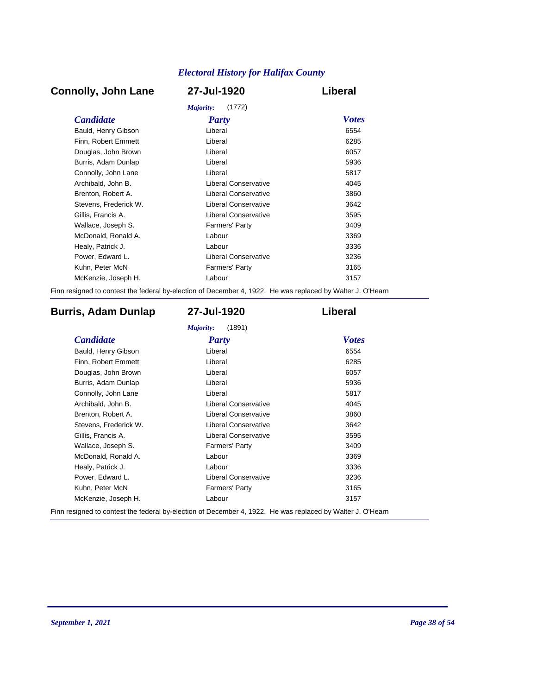# **Connolly, John Lane 27-Jul-1920 Liberal**

| Majority:<br>(1772)   |                             |              |  |
|-----------------------|-----------------------------|--------------|--|
| <i>Candidate</i>      | <b>Party</b>                | <b>Votes</b> |  |
| Bauld, Henry Gibson   | Liberal                     | 6554         |  |
| Finn, Robert Emmett   | Liberal                     | 6285         |  |
| Douglas, John Brown   | Liberal                     | 6057         |  |
| Burris, Adam Dunlap   | Liberal                     | 5936         |  |
| Connolly, John Lane   | Liberal                     | 5817         |  |
| Archibald, John B.    | Liberal Conservative        | 4045         |  |
| Brenton, Robert A.    | <b>Liberal Conservative</b> | 3860         |  |
| Stevens, Frederick W. | Liberal Conservative        | 3642         |  |
| Gillis, Francis A.    | Liberal Conservative        | 3595         |  |
| Wallace, Joseph S.    | <b>Farmers' Party</b>       | 3409         |  |
| McDonald, Ronald A.   | Labour                      | 3369         |  |
| Healy, Patrick J.     | Labour                      | 3336         |  |
| Power, Edward L.      | Liberal Conservative        | 3236         |  |
| Kuhn, Peter McN       | <b>Farmers' Party</b>       | 3165         |  |
| McKenzie, Joseph H.   | Labour                      | 3157         |  |
|                       |                             |              |  |

Finn resigned to contest the federal by-election of December 4, 1922. He was replaced by Walter J. O'Hearn

# **Burris, Adam Dunlap 27-Jul-1920 Liberal**

| <b>Candidate</b>      | Party                       | <b>Votes</b> |
|-----------------------|-----------------------------|--------------|
| Bauld, Henry Gibson   | Liberal                     | 6554         |
| Finn, Robert Emmett   | Liberal                     | 6285         |
| Douglas, John Brown   | Liberal                     | 6057         |
| Burris, Adam Dunlap   | Liberal                     | 5936         |
| Connolly, John Lane   | Liberal                     | 5817         |
| Archibald, John B.    | Liberal Conservative        | 4045         |
| Brenton, Robert A.    | Liberal Conservative        | 3860         |
| Stevens, Frederick W. | <b>Liberal Conservative</b> | 3642         |
| Gillis, Francis A.    | Liberal Conservative        | 3595         |
| Wallace, Joseph S.    | Farmers' Party              | 3409         |
| McDonald, Ronald A.   | Labour                      | 3369         |
| Healy, Patrick J.     | Labour                      | 3336         |
| Power, Edward L.      | <b>Liberal Conservative</b> | 3236         |
| Kuhn, Peter McN       | Farmers' Party              | 3165         |
| McKenzie, Joseph H.   | Labour                      | 3157         |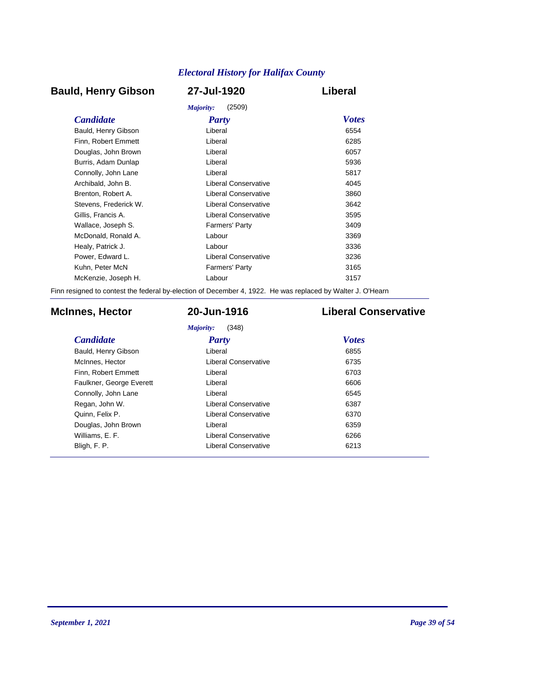# **Bauld, Henry Gibson 27-Jul-1920 Liberal**

|                       | (2509)<br>Majority:   |              |
|-----------------------|-----------------------|--------------|
| <b>Candidate</b>      | <b>Party</b>          | <b>Votes</b> |
| Bauld, Henry Gibson   | Liberal               | 6554         |
| Finn, Robert Emmett   | Liberal               | 6285         |
| Douglas, John Brown   | Liberal               | 6057         |
| Burris, Adam Dunlap   | Liberal               | 5936         |
| Connolly, John Lane   | Liberal               | 5817         |
| Archibald, John B.    | Liberal Conservative  | 4045         |
| Brenton, Robert A.    | Liberal Conservative  | 3860         |
| Stevens. Frederick W. | Liberal Conservative  | 3642         |
| Gillis, Francis A.    | Liberal Conservative  | 3595         |
| Wallace, Joseph S.    | <b>Farmers' Party</b> | 3409         |
| McDonald, Ronald A.   | Labour                | 3369         |
| Healy, Patrick J.     | Labour                | 3336         |
| Power, Edward L.      | Liberal Conservative  | 3236         |
| Kuhn, Peter McN       | <b>Farmers' Party</b> | 3165         |
| McKenzie, Joseph H.   | Labour                | 3157         |
|                       |                       |              |

Finn resigned to contest the federal by-election of December 4, 1922. He was replaced by Walter J. O'Hearn

# **McInnes, Hector 20-Jun-1916 Liberal Conservative**

*Majority:* (348)

| <b>Candidate</b>         | Party                       | <b>Votes</b> |
|--------------------------|-----------------------------|--------------|
| Bauld, Henry Gibson      | Liberal                     | 6855         |
| McInnes, Hector          | Liberal Conservative        | 6735         |
| Finn, Robert Emmett      | Liberal                     | 6703         |
| Faulkner, George Everett | Liberal                     | 6606         |
| Connolly, John Lane      | Liberal                     | 6545         |
| Regan, John W.           | <b>Liberal Conservative</b> | 6387         |
| Quinn, Felix P.          | Liberal Conservative        | 6370         |
| Douglas, John Brown      | Liberal                     | 6359         |
| Williams, E. F.          | Liberal Conservative        | 6266         |
| Bligh, F. P.             | <b>Liberal Conservative</b> | 6213         |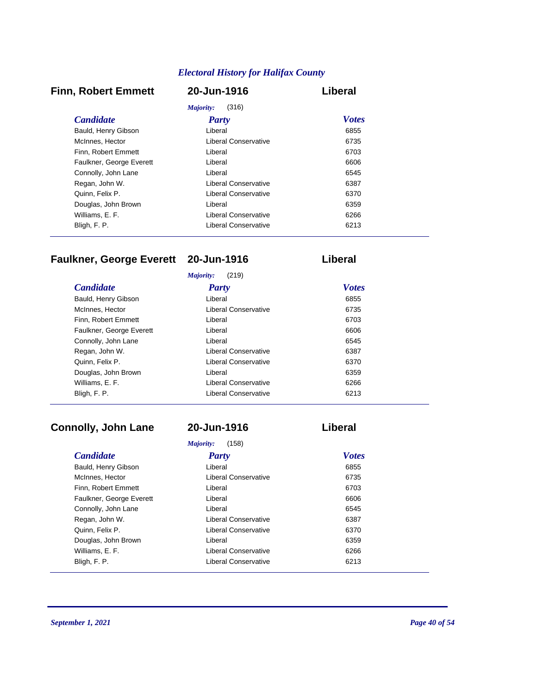# **Finn, Robert Emmett 20-Jun-1916 Liberal**

| Majority:<br>(316)       |                      |              |
|--------------------------|----------------------|--------------|
| <b>Candidate</b>         | Party                | <b>Votes</b> |
| Bauld, Henry Gibson      | Liberal              | 6855         |
| McInnes, Hector          | Liberal Conservative | 6735         |
| Finn. Robert Emmett      | Liberal              | 6703         |
| Faulkner, George Everett | Liberal              | 6606         |
| Connolly, John Lane      | Liberal              | 6545         |
| Regan, John W.           | Liberal Conservative | 6387         |
| Quinn, Felix P.          | Liberal Conservative | 6370         |
| Douglas, John Brown      | Liberal              | 6359         |
| Williams, E. F.          | Liberal Conservative | 6266         |
| Bligh, F. P.             | Liberal Conservative | 6213         |

# **Faulkner, George Everett 20-Jun-1916 Liberal**

| (219)<br>Majority:       |                             |              |  |
|--------------------------|-----------------------------|--------------|--|
| <b>Candidate</b>         | <b>Party</b>                | <b>Votes</b> |  |
| Bauld, Henry Gibson      | Liberal                     | 6855         |  |
| McInnes, Hector          | Liberal Conservative        | 6735         |  |
| Finn. Robert Emmett      | Liberal                     | 6703         |  |
| Faulkner, George Everett | Liberal                     | 6606         |  |
| Connolly, John Lane      | Liberal                     | 6545         |  |
| Regan, John W.           | Liberal Conservative        | 6387         |  |
| Quinn, Felix P.          | <b>Liberal Conservative</b> | 6370         |  |
| Douglas, John Brown      | Liberal                     | 6359         |  |
| Williams, E. F.          | Liberal Conservative        | 6266         |  |
| Bligh, F. P.             | Liberal Conservative        | 6213         |  |
|                          |                             |              |  |

# **Connolly, John Lane 20-Jun-1916 Liberal**

| Majority:<br>(158)       |                             |              |  |
|--------------------------|-----------------------------|--------------|--|
| <b>Candidate</b>         | Party                       | <b>Votes</b> |  |
| Bauld, Henry Gibson      | Liberal                     | 6855         |  |
| McInnes, Hector          | Liberal Conservative        | 6735         |  |
| Finn. Robert Emmett      | Liberal                     | 6703         |  |
| Faulkner, George Everett | Liberal                     | 6606         |  |
| Connolly, John Lane      | Liberal                     | 6545         |  |
| Regan, John W.           | <b>Liberal Conservative</b> | 6387         |  |
| Quinn, Felix P.          | <b>Liberal Conservative</b> | 6370         |  |
| Douglas, John Brown      | Liberal                     | 6359         |  |
| Williams, E. F.          | Liberal Conservative        | 6266         |  |
| Bligh, F. P.             | Liberal Conservative        | 6213         |  |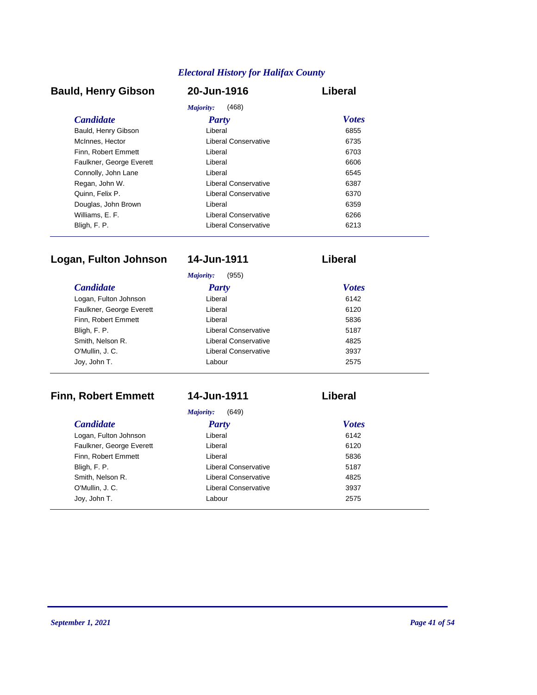# **Bauld, Henry Gibson 20-Jun-1916 Liberal**

| (468)<br>Majority:       |                             |              |
|--------------------------|-----------------------------|--------------|
| <b>Candidate</b>         | Party                       | <b>Votes</b> |
| Bauld, Henry Gibson      | Liberal                     | 6855         |
| McInnes, Hector          | Liberal Conservative        | 6735         |
| Finn. Robert Emmett      | Liberal                     | 6703         |
| Faulkner, George Everett | Liberal                     | 6606         |
| Connolly, John Lane      | Liberal                     | 6545         |
| Regan, John W.           | <b>Liberal Conservative</b> | 6387         |
| Quinn, Felix P.          | Liberal Conservative        | 6370         |
| Douglas, John Brown      | Liberal                     | 6359         |
| Williams, E. F.          | Liberal Conservative        | 6266         |
| Bligh, F. P.             | Liberal Conservative        | 6213         |

# **Logan, Fulton Johnson 14-Jun-1911 Liberal**

|                          | (955)<br>Majority:   |              |
|--------------------------|----------------------|--------------|
| <b>Candidate</b>         | <b>Party</b>         | <b>Votes</b> |
| Logan, Fulton Johnson    | Liberal              | 6142         |
| Faulkner, George Everett | Liberal              | 6120         |
| Finn, Robert Emmett      | Liberal              | 5836         |
| Bligh, F. P.             | Liberal Conservative | 5187         |
| Smith, Nelson R.         | Liberal Conservative | 4825         |
| O'Mullin, J. C.          | Liberal Conservative | 3937         |
| Joy, John T.             | Labour               | 2575         |

# **Finn, Robert Emmett 14-Jun-1911 Liberal**

*Majority:* (649)

| <b>Candidate</b>         | <b>Party</b>         | <b>Votes</b> |
|--------------------------|----------------------|--------------|
| Logan, Fulton Johnson    | Liberal              | 6142         |
| Faulkner, George Everett | Liberal              | 6120         |
| Finn, Robert Emmett      | Liberal              | 5836         |
| Bligh, F. P.             | Liberal Conservative | 5187         |
| Smith, Nelson R.         | Liberal Conservative | 4825         |
| O'Mullin, J.C.           | Liberal Conservative | 3937         |
| Joy, John T.             | Labour               | 2575         |
|                          |                      |              |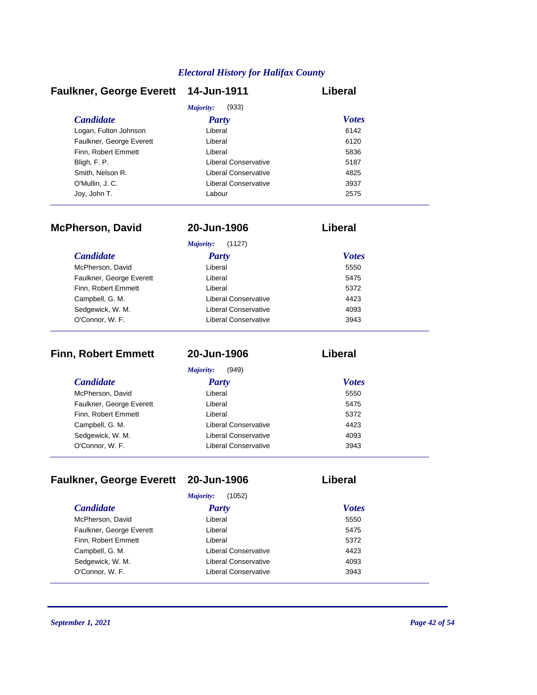|                      | Liberal                              |
|----------------------|--------------------------------------|
| (933)<br>Majority:   |                                      |
| <b>Party</b>         | <b>Votes</b>                         |
| Liberal              | 6142                                 |
| Liberal              | 6120                                 |
| Liberal              | 5836                                 |
| Liberal Conservative | 5187                                 |
| Liberal Conservative | 4825                                 |
| Liberal Conservative | 3937                                 |
| Labour               | 2575                                 |
|                      | Faulkner, George Everett 14-Jun-1911 |

| <b>McPherson, David</b>  | 20-Jun-1906                 | Liberal      |  |
|--------------------------|-----------------------------|--------------|--|
|                          | Majority:<br>(1127)         |              |  |
| <i>Candidate</i>         | Party                       | <b>Votes</b> |  |
| McPherson, David         | Liberal                     | 5550         |  |
| Faulkner, George Everett | Liberal                     | 5475         |  |
| Finn, Robert Emmett      | Liberal                     | 5372         |  |
| Campbell, G. M.          | Liberal Conservative        | 4423         |  |
| Sedgewick, W. M.         | Liberal Conservative        | 4093         |  |
| O'Connor, W. F.          | <b>Liberal Conservative</b> | 3943         |  |

| <b>Finn, Robert Emmett</b> | 20-Jun-1906          | Liberal      |
|----------------------------|----------------------|--------------|
|                            | Majority:<br>(949)   |              |
| <i>Candidate</i>           | <b>Party</b>         | <b>Votes</b> |
| McPherson, David           | Liberal              | 5550         |
| Faulkner, George Everett   | Liberal              | 5475         |
| Finn, Robert Emmett        | Liberal              | 5372         |
| Campbell, G. M.            | Liberal Conservative | 4423         |
| Sedgewick, W. M.           | Liberal Conservative | 4093         |
| O'Connor, W. F.            | Liberal Conservative | 3943         |

# **Faulkner, George Everett 20-Jun-1906 Liberal**

| (1052)<br>Majority:      |                             |              |  |
|--------------------------|-----------------------------|--------------|--|
| <b>Candidate</b>         | <b>Party</b>                | <b>Votes</b> |  |
| McPherson, David         | Liberal                     | 5550         |  |
| Faulkner, George Everett | Liberal                     | 5475         |  |
| Finn, Robert Emmett      | Liberal                     | 5372         |  |
| Campbell, G. M.          | Liberal Conservative        | 4423         |  |
| Sedgewick, W. M.         | Liberal Conservative        | 4093         |  |
| O'Connor, W. F.          | <b>Liberal Conservative</b> | 3943         |  |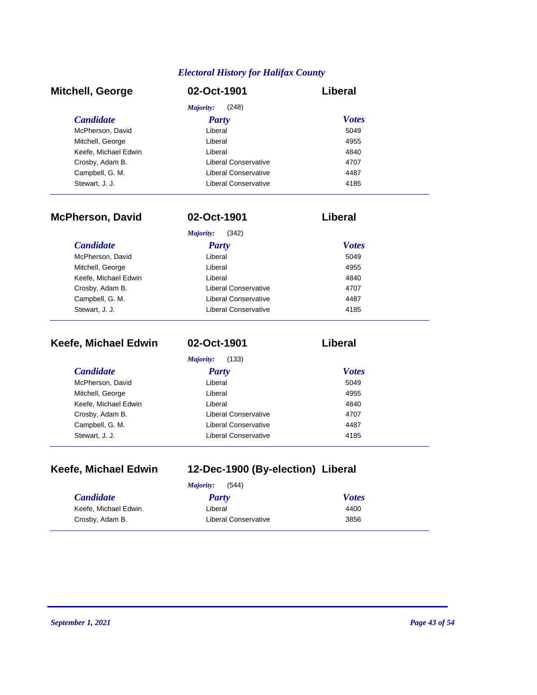| <b>Mitchell, George</b> | 02-Oct-1901          | Liberal      |
|-------------------------|----------------------|--------------|
|                         | (248)<br>Majority:   |              |
| <b>Candidate</b>        | <b>Party</b>         | <b>Votes</b> |
| McPherson, David        | Liberal              | 5049         |
| Mitchell, George        | Liberal              | 4955         |
| Keefe, Michael Edwin    | Liberal              | 4840         |
| Crosby, Adam B.         | Liberal Conservative | 4707         |
| Campbell, G. M.         | Liberal Conservative | 4487         |
| Stewart, J. J.          | Liberal Conservative | 4185         |

| <b>McPherson, David</b> | 02-Oct-1901          | Liberal      |
|-------------------------|----------------------|--------------|
|                         | Majority:<br>(342)   |              |
| <b>Candidate</b>        | Party                | <b>Votes</b> |
| McPherson, David        | Liberal              | 5049         |
| Mitchell, George        | Liberal              | 4955         |
| Keefe, Michael Edwin    | Liberal              | 4840         |
| Crosby, Adam B.         | Liberal Conservative | 4707         |
| Campbell, G. M.         | Liberal Conservative | 4487         |
| Stewart, J. J.          | Liberal Conservative | 4185         |

| Keefe, Michael Edwin | 02-Oct-1901          | Liberal      |
|----------------------|----------------------|--------------|
|                      | Majority:<br>(133)   |              |
| <i>Candidate</i>     | <b>Party</b>         | <b>Votes</b> |
| McPherson, David     | Liberal              | 5049         |
| Mitchell, George     | Liberal              | 4955         |
| Keefe, Michael Edwin | Liberal              | 4840         |
| Crosby, Adam B.      | Liberal Conservative | 4707         |
| Campbell, G. M.      | Liberal Conservative | 4487         |
| Stewart, J. J.       | Liberal Conservative | 4185         |

| Keefe, Michael Edwin |  |
|----------------------|--|
|----------------------|--|

# **Keefe, Michael Edwin 12-Dec-1900 (By-election) Liberal**

| (544)<br>Majority:   |                      |              |  |
|----------------------|----------------------|--------------|--|
| <i>Candidate</i>     | Party                | <b>Votes</b> |  |
| Keefe, Michael Edwin | Liberal              | 4400         |  |
| Crosby, Adam B.      | Liberal Conservative | 3856         |  |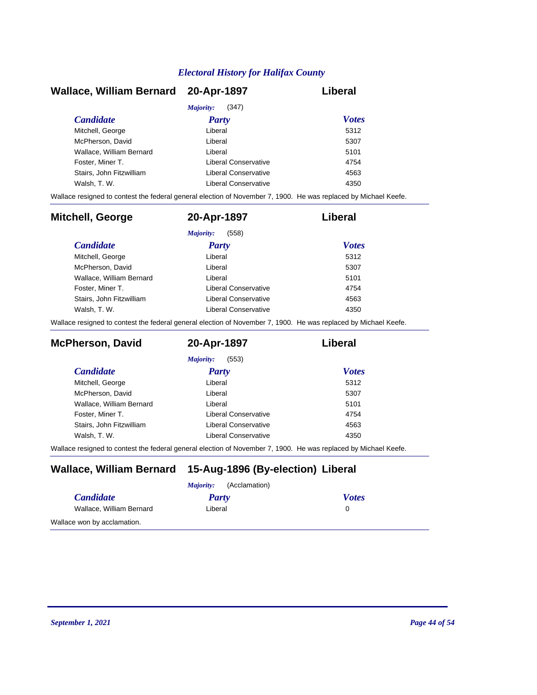| Wallace, William Bernard 20-Apr-1897 |                      | Liberal      |
|--------------------------------------|----------------------|--------------|
|                                      | (347)<br>Majority:   |              |
| <b>Candidate</b>                     | Party                | <b>Votes</b> |
| Mitchell, George                     | Liberal              | 5312         |
| McPherson, David                     | Liberal              | 5307         |
| Wallace, William Bernard             | Liberal              | 5101         |
| Foster, Miner T.                     | Liberal Conservative | 4754         |
| Stairs. John Fitzwilliam             | Liberal Conservative | 4563         |
| Walsh, T. W.                         | Liberal Conservative | 4350         |

Wallace resigned to contest the federal general election of November 7, 1900. He was replaced by Michael Keefe.

| <b>Mitchell, George</b>  | 20-Apr-1897          | Liberal      |
|--------------------------|----------------------|--------------|
|                          | (558)<br>Majority:   |              |
| <b>Candidate</b>         | <b>Party</b>         | <b>Votes</b> |
| Mitchell, George         | Liberal              | 5312         |
| McPherson, David         | Liberal              | 5307         |
| Wallace, William Bernard | Liberal              | 5101         |
| Foster, Miner T.         | Liberal Conservative | 4754         |
| Stairs, John Fitzwilliam | Liberal Conservative | 4563         |
| Walsh, T. W.             | Liberal Conservative | 4350         |

Wallace resigned to contest the federal general election of November 7, 1900. He was replaced by Michael Keefe.

| <b>McPherson, David</b>  | 20-Apr-1897          | Liberal      |
|--------------------------|----------------------|--------------|
|                          | (553)<br>Majority:   |              |
| <i>Candidate</i>         | Party                | <b>Votes</b> |
| Mitchell, George         | Liberal              | 5312         |
| McPherson, David         | Liberal              | 5307         |
| Wallace, William Bernard | Liberal              | 5101         |
| Foster, Miner T.         | Liberal Conservative | 4754         |
| Stairs, John Fitzwilliam | Liberal Conservative | 4563         |
| Walsh, T. W.             | Liberal Conservative | 4350         |

Wallace resigned to contest the federal general election of November 7, 1900. He was replaced by Michael Keefe.

# **Wallace, William Bernard 15-Aug-1896 (By-election) Liberal**

| (Acclamation)<br><i>Majority:</i> |         |              |
|-----------------------------------|---------|--------------|
| <i>Candidate</i>                  | Party   | <b>Votes</b> |
| Wallace, William Bernard          | Liberal |              |
| Wallace won by acclamation.       |         |              |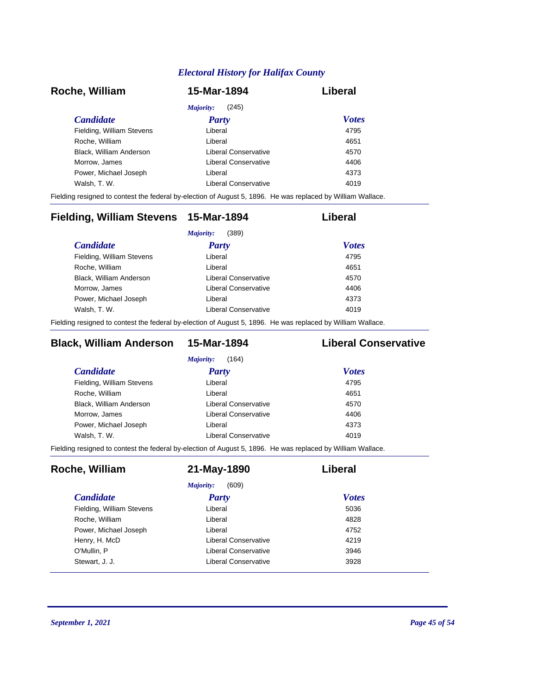| Roche, William            | 15-Mar-1894          | Liberal      |
|---------------------------|----------------------|--------------|
|                           | (245)<br>Majority:   |              |
| <i>Candidate</i>          | <b>Party</b>         | <b>Votes</b> |
| Fielding, William Stevens | Liberal              | 4795         |
| Roche, William            | Liberal              | 4651         |
| Black, William Anderson   | Liberal Conservative | 4570         |
| Morrow, James             | Liberal Conservative | 4406         |
| Power, Michael Joseph     | Liberal              | 4373         |
| Walsh, T. W.              | Liberal Conservative | 4019         |

Fielding resigned to contest the federal by-election of August 5, 1896. He was replaced by William Wallace.

| Fielding, William Stevens 15-Mar-1894 |                      | Liberal      |
|---------------------------------------|----------------------|--------------|
|                                       | (389)<br>Majority:   |              |
| <i>Candidate</i>                      | <b>Party</b>         | <b>Votes</b> |
| Fielding, William Stevens             | Liberal              | 4795         |
| Roche, William                        | Liberal              | 4651         |
| Black, William Anderson               | Liberal Conservative | 4570         |
| Morrow, James                         | Liberal Conservative | 4406         |
| Power, Michael Joseph                 | Liberal              | 4373         |
| Walsh, T. W.                          | Liberal Conservative | 4019         |
|                                       |                      |              |

Fielding resigned to contest the federal by-election of August 5, 1896. He was replaced by William Wallace.

# **Black, William Anderson 15-Mar-1894 Liberal Conservative**

| Liberal              | 4795 |                              |
|----------------------|------|------------------------------|
| Liberal              | 4651 |                              |
| Liberal Conservative | 4570 |                              |
| Liberal Conservative | 4406 |                              |
| Liberal              | 4373 |                              |
| Liberal Conservative | 4019 |                              |
|                      |      | <b>Votes</b><br><b>Party</b> |

Fielding resigned to contest the federal by-election of August 5, 1896. He was replaced by William Wallace.

| Roche, William            | 21-May-1890          | Liberal      |
|---------------------------|----------------------|--------------|
|                           | (609)<br>Majority:   |              |
| <i>Candidate</i>          | <b>Party</b>         | <b>Votes</b> |
| Fielding, William Stevens | Liberal              | 5036         |
| Roche, William            | Liberal              | 4828         |
| Power, Michael Joseph     | Liberal              | 4752         |
| Henry, H. McD             | Liberal Conservative | 4219         |
| O'Mullin, P               | Liberal Conservative | 3946         |
| Stewart, J. J.            | Liberal Conservative | 3928         |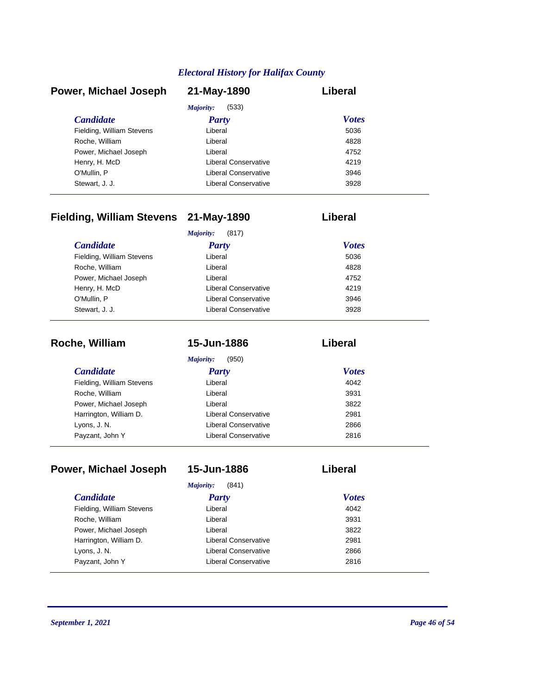| Power, Michael Joseph     | 21-May-1890          | Liberal      |
|---------------------------|----------------------|--------------|
|                           | (533)<br>Majority:   |              |
| <b>Candidate</b>          | <b>Party</b>         | <b>Votes</b> |
| Fielding, William Stevens | Liberal              | 5036         |
| Roche, William            | Liberal              | 4828         |
| Power, Michael Joseph     | Liberal              | 4752         |
| Henry, H. McD             | Liberal Conservative | 4219         |
| O'Mullin, P               | Liberal Conservative | 3946         |
| Stewart, J. J.            | Liberal Conservative | 3928         |

# **Fielding, William Stevens 21-May-1890 Liberal**

|                           | (817)<br>Majority:   |              |
|---------------------------|----------------------|--------------|
| <b>Candidate</b>          | <b>Party</b>         | <b>Votes</b> |
| Fielding, William Stevens | Liberal              | 5036         |
| Roche, William            | Liberal              | 4828         |
| Power, Michael Joseph     | Liberal              | 4752         |
| Henry, H. McD             | Liberal Conservative | 4219         |
| O'Mullin, P               | Liberal Conservative | 3946         |
| Stewart, J. J.            | Liberal Conservative | 3928         |

| Roche, William            | 15-Jun-1886          | Liberal      |
|---------------------------|----------------------|--------------|
|                           | (950)<br>Majority:   |              |
| <i>Candidate</i>          | <b>Party</b>         | <b>Votes</b> |
| Fielding, William Stevens | Liberal              | 4042         |
| Roche, William            | Liberal              | 3931         |
| Power, Michael Joseph     | Liberal              | 3822         |
| Harrington, William D.    | Liberal Conservative | 2981         |
| Lyons, J. N.              | Liberal Conservative | 2866         |
| Payzant, John Y           | Liberal Conservative | 2816         |

| Power, Michael Joseph     | 15-Jun-1886                 | Liberal      |
|---------------------------|-----------------------------|--------------|
|                           | Majority:<br>(841)          |              |
| <i>Candidate</i>          | Party                       | <b>Votes</b> |
| Fielding, William Stevens | Liberal                     | 4042         |
| Roche, William            | Liberal                     | 3931         |
| Power, Michael Joseph     | Liberal                     | 3822         |
| Harrington, William D.    | Liberal Conservative        | 2981         |
| Lyons, J. N.              | <b>Liberal Conservative</b> | 2866         |
| Payzant, John Y           | Liberal Conservative        | 2816         |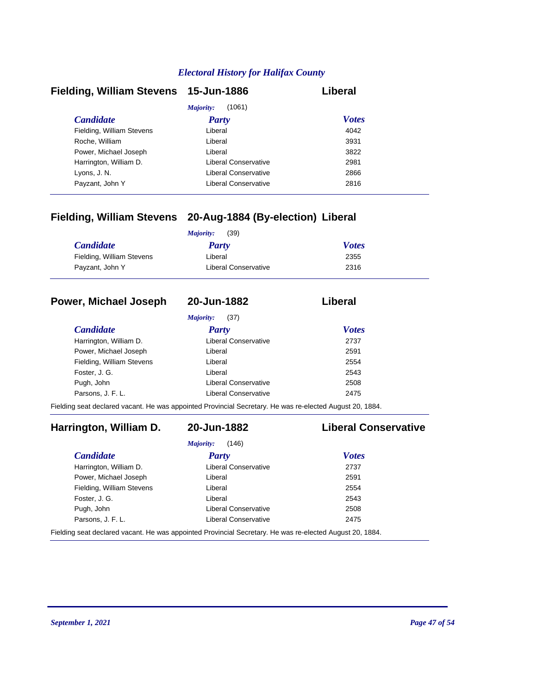| Fielding, William Stevens 15-Jun-1886 |                      | Liberal      |
|---------------------------------------|----------------------|--------------|
|                                       | (1061)<br>Majority:  |              |
| <b>Candidate</b>                      | <b>Party</b>         | <b>Votes</b> |
| Fielding, William Stevens             | Liberal              | 4042         |
| Roche, William                        | Liberal              | 3931         |
| Power, Michael Joseph                 | Liberal              | 3822         |
| Harrington, William D.                | Liberal Conservative | 2981         |
| Lyons, J. N.                          | Liberal Conservative | 2866         |
| Payzant, John Y                       | Liberal Conservative | 2816         |

# **Fielding, William Stevens 20-Aug-1884 (By-election) Liberal**

|                           | (39)<br>Majority:    |              |
|---------------------------|----------------------|--------------|
| <b>Candidate</b>          | Party                | <b>Votes</b> |
| Fielding, William Stevens | Liberal              | 2355         |
| Payzant, John Y           | Liberal Conservative | 2316         |

### **Power, Michael Joseph 20-Jun-1882 Liberal**

*Majority:* (37)

| <i>Candidate</i>          | <b>Party</b>         | <b>Votes</b> |
|---------------------------|----------------------|--------------|
| Harrington, William D.    | Liberal Conservative | 2737         |
| Power, Michael Joseph     | Liberal              | 2591         |
| Fielding, William Stevens | Liberal              | 2554         |
| Foster, J. G.             | Liberal              | 2543         |
| Pugh, John                | Liberal Conservative | 2508         |
| Parsons, J. F. L.         | Liberal Conservative | 2475         |

Fielding seat declared vacant. He was appointed Provincial Secretary. He was re-elected August 20, 1884.

# **Harrington, William D. 20-Jun-1882 Liberal Conservative**

# *Majority:* (146)

| <b>Candidate</b>          | Party                                                                                                                                                                                                                             | <b>Votes</b> |  |
|---------------------------|-----------------------------------------------------------------------------------------------------------------------------------------------------------------------------------------------------------------------------------|--------------|--|
| Harrington, William D.    | <b>Liberal Conservative</b>                                                                                                                                                                                                       | 2737         |  |
| Power, Michael Joseph     | Liberal                                                                                                                                                                                                                           | 2591         |  |
| Fielding, William Stevens | Liberal                                                                                                                                                                                                                           | 2554         |  |
| Foster, J. G.             | Liberal                                                                                                                                                                                                                           | 2543         |  |
| Pugh, John                | <b>Liberal Conservative</b>                                                                                                                                                                                                       | 2508         |  |
| Parsons. J. F. L.         | <b>Liberal Conservative</b>                                                                                                                                                                                                       | 2475         |  |
|                           | $\mathbb{R}$ . The set of the set of the set of the set of the set of the set of the set of the set of the set of the set of the set of the set of the set of the set of the set of the set of the set of the set of the set of t |              |  |

Fielding seat declared vacant. He was appointed Provincial Secretary. He was re-elected August 20, 1884.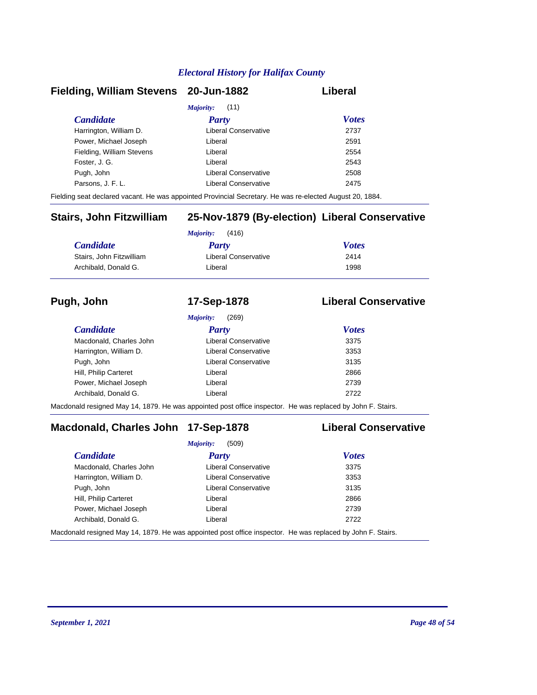### **Fielding, William Stevens 20-Jun-1882 Liberal**

| <i>Majority:</i> (11)     |                      |              |  |
|---------------------------|----------------------|--------------|--|
| <b>Candidate</b>          | <b>Party</b>         | <b>Votes</b> |  |
| Harrington, William D.    | Liberal Conservative | 2737         |  |
| Power, Michael Joseph     | Liberal              | 2591         |  |
| Fielding, William Stevens | Liberal              | 2554         |  |
| Foster, J. G.             | Liberal              | 2543         |  |
| Pugh, John                | Liberal Conservative | 2508         |  |
| Parsons, J. F. L.         | Liberal Conservative | 2475         |  |
|                           |                      |              |  |

Fielding seat declared vacant. He was appointed Provincial Secretary. He was re-elected August 20, 1884.

# **Stairs, John Fitzwilliam 25-Nov-1879 (By-election) Liberal Conservative**

|                          | (416)<br>Majority:   |              |  |
|--------------------------|----------------------|--------------|--|
| <b>Candidate</b>         | <b>Party</b>         | <b>Votes</b> |  |
| Stairs, John Fitzwilliam | Liberal Conservative | 2414         |  |
| Archibald, Donald G.     | Liberal              | 1998         |  |

### **Pugh, John 17-Sep-1878 Liberal Conservative**

|                         | (269)<br>Majority:          |              |  |
|-------------------------|-----------------------------|--------------|--|
| <i>Candidate</i>        | <b>Party</b>                | <b>Votes</b> |  |
| Macdonald, Charles John | Liberal Conservative        | 3375         |  |
| Harrington, William D.  | Liberal Conservative        | 3353         |  |
| Pugh, John              | <b>Liberal Conservative</b> | 3135         |  |
| Hill, Philip Carteret   | Liberal                     | 2866         |  |
| Power, Michael Joseph   | Liberal                     | 2739         |  |
| Archibald, Donald G.    | Liberal                     | 2722         |  |
|                         |                             |              |  |

Macdonald resigned May 14, 1879. He was appointed post office inspector. He was replaced by John F. Stairs.

# **Macdonald, Charles John 17-Sep-1878 Liberal Conservative**

|                         | (509)<br>Majority:                                                                                                                  |              |  |
|-------------------------|-------------------------------------------------------------------------------------------------------------------------------------|--------------|--|
| <b>Candidate</b>        | Party                                                                                                                               | <b>Votes</b> |  |
| Macdonald, Charles John | <b>Liberal Conservative</b>                                                                                                         | 3375         |  |
| Harrington, William D.  | Liberal Conservative                                                                                                                | 3353         |  |
| Pugh, John              | Liberal Conservative                                                                                                                | 3135         |  |
| Hill, Philip Carteret   | Liberal                                                                                                                             | 2866         |  |
| Power, Michael Joseph   | Liberal                                                                                                                             | 2739         |  |
| Archibald, Donald G.    | Liberal                                                                                                                             | 2722         |  |
|                         | المعادلة التي المعادلة المتحدث المسترد وجود المستخدمات المعادلة المعادلة المعادلة المستخدمة المستخدمة المستخدمة المستخدمة المستخدمة |              |  |

Macdonald resigned May 14, 1879. He was appointed post office inspector. He was replaced by John F. Stairs.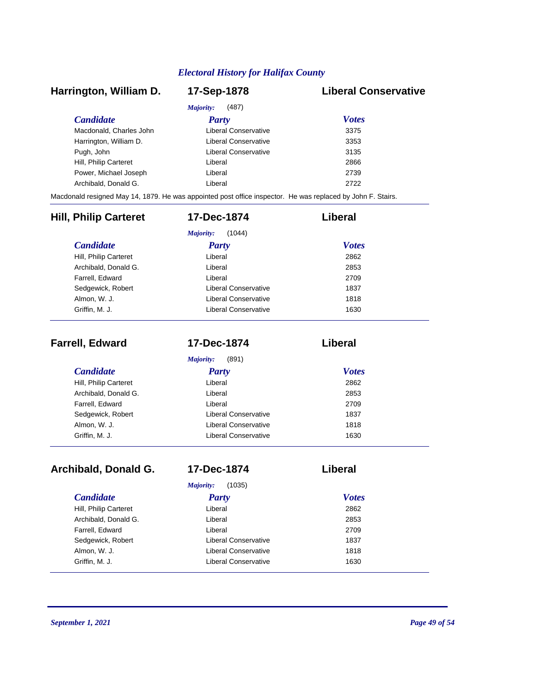## *Candidate Party Votes* **Harrington, William D. 17-Sep-1878 Liberal Conservative** *Majority:* (487) Macdonald, Charles John Liberal Conservative 3375 Harrington, William D. Ciberal Conservative 3353 Pugh, John **Disk and American Conservative** 3135 Hill, Philip Carteret **Liberal** Liberal 2866 Power, Michael Joseph Liberal Liberal 2739 Archibald, Donald G. Liberal 2722 Macdonald resigned May 14, 1879. He was appointed post office inspector. He was replaced by John F. Stairs. *Candidate Party Votes* **Hill, Philip Carteret 17-Dec-1874 Liberal** *Majority:* (1044) Hill, Philip Carteret Liberal Archibald, Donald G. Liberal 2853 Farrell, Edward 2709 Sedgewick, Robert **Liberal Conservative** 1837 Almon, W. J. Conservative Conservative 1818

| <b>Farrell, Edward</b>  | 17-Dec-1874          | Liberal      |
|-------------------------|----------------------|--------------|
|                         | (891)<br>Majority:   |              |
| <i><b>Candidate</b></i> | <b>Party</b>         | <b>Votes</b> |
| Hill, Philip Carteret   | Liberal              | 2862         |
| Archibald, Donald G.    | Liberal              | 2853         |
| Farrell, Edward         | Liberal              | 2709         |
| Sedgewick, Robert       | Liberal Conservative | 1837         |
| Almon, W. J.            | Liberal Conservative | 1818         |
| Griffin, M. J.          | Liberal Conservative | 1630         |

Griffin, M. J. **Canadian Conservative** 1630

| Archibald, Donald G.  | 17-Dec-1874          | Liberal      |  |
|-----------------------|----------------------|--------------|--|
|                       | (1035)<br>Majority:  |              |  |
| <i>Candidate</i>      | <b>Party</b>         | <b>Votes</b> |  |
| Hill, Philip Carteret | Liberal              | 2862         |  |
| Archibald, Donald G.  | Liberal              | 2853         |  |
| Farrell, Edward       | Liberal              | 2709         |  |
| Sedgewick, Robert     | Liberal Conservative | 1837         |  |
| Almon, W. J.          | Liberal Conservative | 1818         |  |
| Griffin, M. J.        | Liberal Conservative | 1630         |  |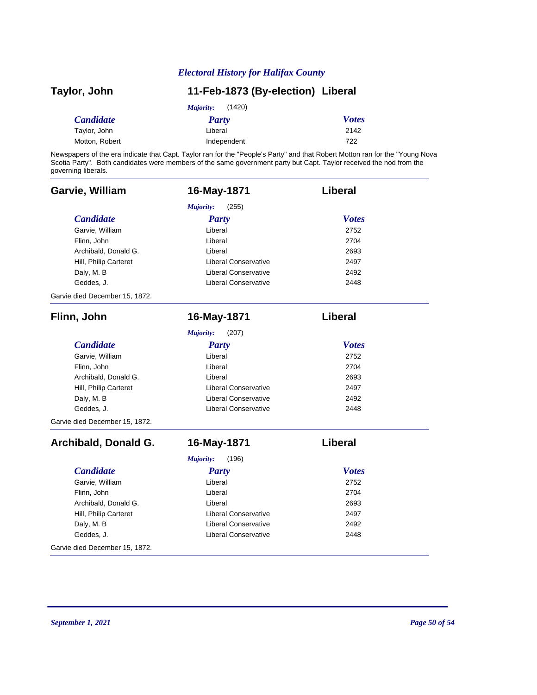| Taylor, John     | 11-Feb-1873 (By-election) Liberal |              |
|------------------|-----------------------------------|--------------|
|                  | (1420)<br>Majority:               |              |
| <b>Candidate</b> | Party                             | <b>Votes</b> |
| Taylor, John     | Liberal                           | 2142         |
| Motton, Robert   | Independent                       | 722          |

Newspapers of the era indicate that Capt. Taylor ran for the "People's Party" and that Robert Motton ran for the "Young Nova Scotia Party". Both candidates were members of the same government party but Capt. Taylor received the nod from the governing liberals.

| Garvie, William                | 16-May-1871                 | Liberal        |
|--------------------------------|-----------------------------|----------------|
|                                | Majority:<br>(255)          |                |
| <b>Candidate</b>               | <b>Party</b>                | <b>Votes</b>   |
| Garvie, William                | Liberal                     | 2752           |
| Flinn, John                    | Liberal                     | 2704           |
| Archibald, Donald G.           | Liberal                     | 2693           |
| Hill, Philip Carteret          | <b>Liberal Conservative</b> | 2497           |
| Daly, M. B                     | <b>Liberal Conservative</b> | 2492           |
| Geddes, J.                     | <b>Liberal Conservative</b> | 2448           |
| Garvie died December 15, 1872. |                             |                |
| Flinn, John                    | 16-May-1871                 | <b>Liberal</b> |
|                                | Majority:<br>(207)          |                |
| <b>Candidate</b>               | <b>Party</b>                | <b>Votes</b>   |
| Garvie, William                | Liberal                     | 2752           |
| Flinn, John                    | Liberal                     | 2704           |
| Archibald, Donald G.           | Liberal                     | 2693           |
| Hill, Philip Carteret          | <b>Liberal Conservative</b> | 2497           |
| Daly, M. B                     | <b>Liberal Conservative</b> | 2492           |
| Geddes, J.                     | <b>Liberal Conservative</b> | 2448           |
| Garvie died December 15, 1872. |                             |                |
| Archibald, Donald G.           | 16-May-1871                 | Liberal        |
|                                | Majority:<br>(196)          |                |
| <b>Candidate</b>               | <b>Party</b>                | <b>Votes</b>   |
| Garvie, William                | Liberal                     | 2752           |
| Flinn, John                    | Liberal                     | 2704           |
| Archibald, Donald G.           | Liberal                     | 2693           |
| Hill, Philip Carteret          | <b>Liberal Conservative</b> | 2497           |
| Daly, M. B                     | <b>Liberal Conservative</b> | 2492           |
| Geddes, J.                     | <b>Liberal Conservative</b> | 2448           |
| Garvie died December 15, 1872. |                             |                |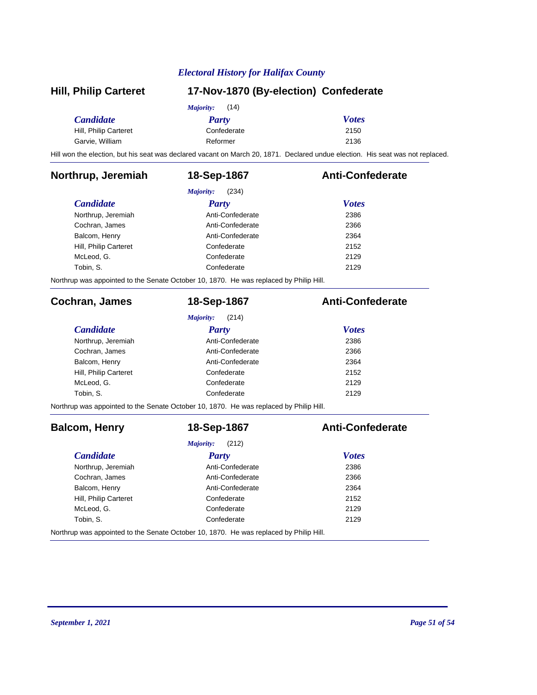| <b>Hill, Philip Carteret</b> | 17-Nov-1870 (By-election) Confederate                                                  |                                                                                                                                |  |
|------------------------------|----------------------------------------------------------------------------------------|--------------------------------------------------------------------------------------------------------------------------------|--|
|                              | Majority:<br>(14)                                                                      |                                                                                                                                |  |
| <b>Candidate</b>             | <b>Party</b>                                                                           | <b>Votes</b>                                                                                                                   |  |
| Hill, Philip Carteret        | Confederate                                                                            | 2150                                                                                                                           |  |
| Garvie, William              | Reformer                                                                               | 2136                                                                                                                           |  |
|                              |                                                                                        | Hill won the election, but his seat was declared vacant on March 20, 1871. Declared undue election. His seat was not replaced. |  |
| Northrup, Jeremiah           | 18-Sep-1867                                                                            | <b>Anti-Confederate</b>                                                                                                        |  |
|                              | Majority:<br>(234)                                                                     |                                                                                                                                |  |
| <b>Candidate</b>             | <b>Party</b>                                                                           | <b>Votes</b>                                                                                                                   |  |
| Northrup, Jeremiah           | Anti-Confederate                                                                       | 2386                                                                                                                           |  |
| Cochran, James               | Anti-Confederate                                                                       | 2366                                                                                                                           |  |
| Balcom, Henry                | Anti-Confederate                                                                       | 2364                                                                                                                           |  |
| Hill, Philip Carteret        | Confederate                                                                            | 2152                                                                                                                           |  |
| McLeod, G.                   | Confederate                                                                            | 2129                                                                                                                           |  |
| Tobin, S.                    | Confederate                                                                            | 2129                                                                                                                           |  |
|                              | Northrup was appointed to the Senate October 10, 1870. He was replaced by Philip Hill. |                                                                                                                                |  |
| Cochran, James               | 18-Sep-1867                                                                            | <b>Anti-Confederate</b>                                                                                                        |  |
|                              | Majority:<br>(214)                                                                     |                                                                                                                                |  |
| <b>Candidate</b>             | <b>Party</b>                                                                           | <b>Votes</b>                                                                                                                   |  |
| Northrup, Jeremiah           | Anti-Confederate                                                                       | 2386                                                                                                                           |  |
| Cochran, James               | Anti-Confederate                                                                       | 2366                                                                                                                           |  |
| Balcom, Henry                | Anti-Confederate                                                                       | 2364                                                                                                                           |  |
| Hill, Philip Carteret        | Confederate                                                                            | 2152                                                                                                                           |  |
| McLeod, G.                   | Confederate                                                                            | 2129                                                                                                                           |  |
| Tobin, S.                    | Confederate                                                                            | 2129                                                                                                                           |  |
|                              | Northrup was appointed to the Senate October 10, 1870. He was replaced by Philip Hill. |                                                                                                                                |  |
| <b>Balcom, Henry</b>         | 18-Sep-1867                                                                            | <b>Anti-Confederate</b>                                                                                                        |  |
|                              | Majority:<br>(212)                                                                     |                                                                                                                                |  |
| <b>Candidate</b>             | <b>Party</b>                                                                           | <b>Votes</b>                                                                                                                   |  |
| Northrup, Jeremiah           | Anti-Confederate                                                                       | 2386                                                                                                                           |  |
| Cochran, James               | Anti-Confederate                                                                       | 2366                                                                                                                           |  |
| Balcom, Henry                | Anti-Confederate                                                                       | 2364                                                                                                                           |  |
| Hill, Philip Carteret        | Confederate                                                                            | 2152                                                                                                                           |  |
| McLeod, G.                   | Confederate                                                                            | 2129                                                                                                                           |  |
| Tobin, S.                    | Confederate                                                                            | 2129                                                                                                                           |  |
|                              | Northrup was appointed to the Senate October 10, 1870. He was replaced by Philip Hill. |                                                                                                                                |  |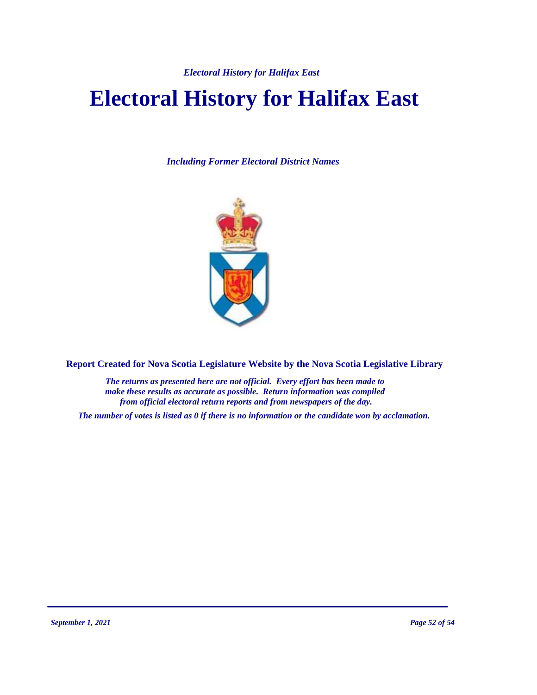# **Electoral History for Halifax East**

*Including Former Electoral District Names*



**Report Created for Nova Scotia Legislature Website by the Nova Scotia Legislative Library**

*The returns as presented here are not official. Every effort has been made to make these results as accurate as possible. Return information was compiled from official electoral return reports and from newspapers of the day.*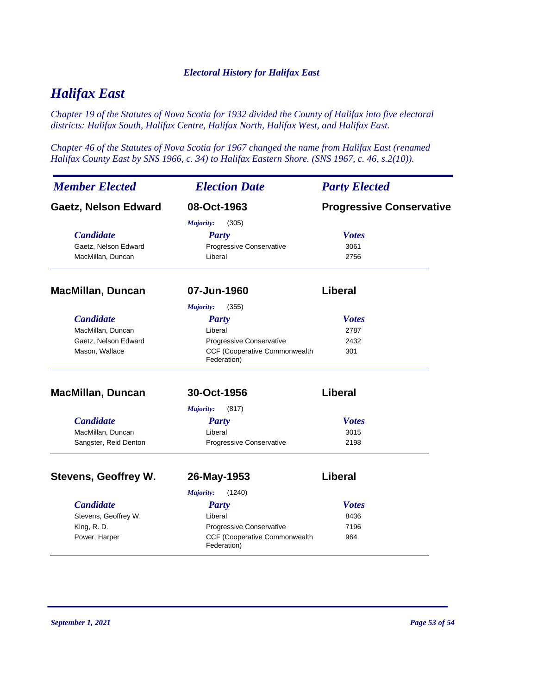# *Halifax East*

*Chapter 19 of the Statutes of Nova Scotia for 1932 divided the County of Halifax into five electoral districts: Halifax South, Halifax Centre, Halifax North, Halifax West, and Halifax East.*

*Chapter 46 of the Statutes of Nova Scotia for 1967 changed the name from Halifax East (renamed Halifax County East by SNS 1966, c. 34) to Halifax Eastern Shore. (SNS 1967, c. 46, s.2(10)).*

| <b>Member Elected</b>       | <b>Election Date</b>                                | <b>Party Elected</b>            |
|-----------------------------|-----------------------------------------------------|---------------------------------|
| <b>Gaetz, Nelson Edward</b> | 08-Oct-1963                                         | <b>Progressive Conservative</b> |
|                             | Majority:<br>(305)                                  |                                 |
| <b>Candidate</b>            | <b>Party</b>                                        | <b>Votes</b>                    |
| Gaetz, Nelson Edward        | Progressive Conservative                            | 3061                            |
| MacMillan, Duncan           | Liberal                                             | 2756                            |
| <b>MacMillan, Duncan</b>    | 07-Jun-1960                                         | Liberal                         |
|                             | (355)<br><b>Majority:</b>                           |                                 |
| <b>Candidate</b>            | <b>Party</b>                                        | <b>Votes</b>                    |
| MacMillan, Duncan           | Liberal                                             | 2787                            |
| Gaetz, Nelson Edward        | Progressive Conservative                            | 2432                            |
| Mason, Wallace              | CCF (Cooperative Commonwealth<br>Federation)        | 301                             |
| <b>MacMillan, Duncan</b>    | 30-Oct-1956                                         | <b>Liberal</b>                  |
|                             | (817)<br>Majority:                                  |                                 |
| <b>Candidate</b>            | <b>Party</b>                                        | <b>Votes</b>                    |
| MacMillan, Duncan           | Liberal                                             | 3015                            |
| Sangster, Reid Denton       | Progressive Conservative                            | 2198                            |
| <b>Stevens, Geoffrey W.</b> | 26-May-1953                                         | Liberal                         |
|                             | <b>Majority:</b><br>(1240)                          |                                 |
| <b>Candidate</b>            | <b>Party</b>                                        | <b>Votes</b>                    |
| Stevens, Geoffrey W.        | Liberal                                             | 8436                            |
| King, R.D.                  | Progressive Conservative                            | 7196                            |
| Power, Harper               | <b>CCF (Cooperative Commonwealth</b><br>Federation) | 964                             |